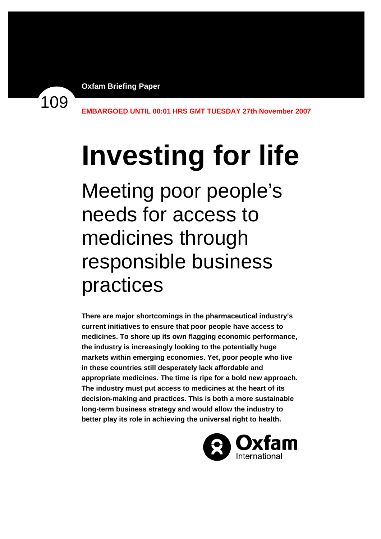109

**EMBARGOED UNTIL 00:01 HRS GMT TUESDAY 27th November 2007** 

# **Investing for life**

Meeting poor people's needs for access to medicines through responsible business practices

**There are major shortcomings in the pharmaceutical industry's current initiatives to ensure that poor people have access to medicines. To shore up its own flagging economic performance, the industry is increasingly looking to the potentially huge markets within emerging economies. Yet, poor people who live in these countries still desperately lack affordable and appropriate medicines. The time is ripe for a bold new approach. The industry must put access to medicines at the heart of its decision-making and practices. This is both a more sustainable long-term business strategy and would allow the industry to better play its role in achieving the universal right to health.** 

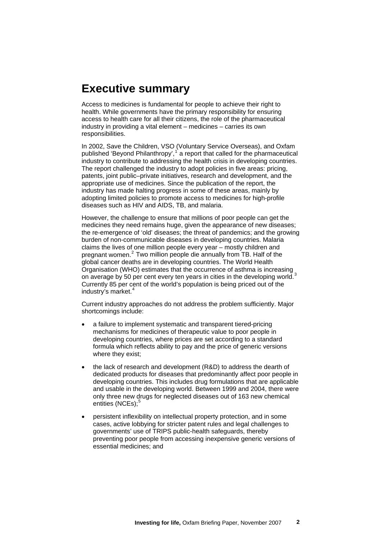# **Executive summary**

Access to medicines is fundamental for people to achieve their right to health. While governments have the primary responsibility for ensuring access to health care for all their citizens, the role of the pharmaceutical industry in providing a vital element – medicines – carries its own responsibilities.

In 2002, Save the Children, VSO (Voluntary Service Overseas), and Oxfam published 'Beyond Philanthropy',  $1$  a report that called for the pharmaceutical industry to contribute to addressing the health crisis in developing countries. The report challenged the industry to adopt policies in five areas: pricing, patents, joint public–private initiatives, research and development, and the appropriate use of medicines. Since the publication of the report, the industry has made halting progress in some of these areas, mainly by adopting limited policies to promote access to medicines for high-profile diseases such as HIV and AIDS, TB, and malaria.

However, the challenge to ensure that millions of poor people can get the medicines they need remains huge, given the appearance of new diseases; the re-emergence of 'old' diseases; the threat of pandemics; and the growing burden of non-communicable diseases in developing countries. Malaria claims the lives of one million people every year – mostly children and pregnant women.<sup>[2](#page-55-1)</sup> Two million people die annually from TB. Half of the global cancer deaths are in developing countries. The World Health Organisation (WHO) estimates that the occurrence of asthma is increasing on average by 50 per cent every ten years in cities in the developing world.<sup>[3](#page-55-1)</sup> Currently 85 per cent of the world's population is being priced out of the industry's market.<sup>[4](#page-55-1)</sup>

Current industry approaches do not address the problem sufficiently. Major shortcomings include:

- a failure to implement systematic and transparent tiered-pricing mechanisms for medicines of therapeutic value to poor people in developing countries, where prices are set according to a standard formula which reflects ability to pay and the price of generic versions where they exist;
- the lack of research and development (R&D) to address the dearth of dedicated products for diseases that predominantly affect poor people in developing countries. This includes drug formulations that are applicable and usable in the developing world. Between 1999 and 2004, there were only three new drugs for neglected diseases out of 163 new chemical entities (NCEs);<sup>[5](#page-55-1)</sup>
- persistent inflexibility on intellectual property protection, and in some cases, active lobbying for stricter patent rules and legal challenges to governments' use of TRIPS public-health safeguards, thereby preventing poor people from accessing inexpensive generic versions of essential medicines; and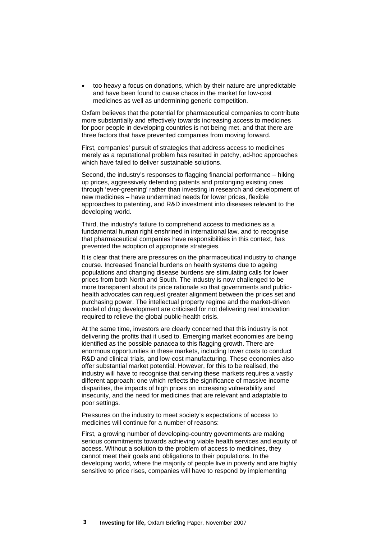• too heavy a focus on donations, which by their nature are unpredictable and have been found to cause chaos in the market for low-cost medicines as well as undermining generic competition.

Oxfam believes that the potential for pharmaceutical companies to contribute more substantially and effectively towards increasing access to medicines for poor people in developing countries is not being met, and that there are three factors that have prevented companies from moving forward.

First, companies' pursuit of strategies that address access to medicines merely as a reputational problem has resulted in patchy, ad-hoc approaches which have failed to deliver sustainable solutions.

Second, the industry's responses to flagging financial performance – hiking up prices, aggressively defending patents and prolonging existing ones through 'ever-greening' rather than investing in research and development of new medicines – have undermined needs for lower prices, flexible approaches to patenting, and R&D investment into diseases relevant to the developing world.

Third, the industry's failure to comprehend access to medicines as a fundamental human right enshrined in international law, and to recognise that pharmaceutical companies have responsibilities in this context, has prevented the adoption of appropriate strategies.

It is clear that there are pressures on the pharmaceutical industry to change course. Increased financial burdens on health systems due to ageing populations and changing disease burdens are stimulating calls for lower prices from both North and South. The industry is now challenged to be more transparent about its price rationale so that governments and publichealth advocates can request greater alignment between the prices set and purchasing power. The intellectual property regime and the market-driven model of drug development are criticised for not delivering real innovation required to relieve the global public-health crisis.

At the same time, investors are clearly concerned that this industry is not delivering the profits that it used to. Emerging market economies are being identified as the possible panacea to this flagging growth. There are enormous opportunities in these markets, including lower costs to conduct R&D and clinical trials, and low-cost manufacturing. These economies also offer substantial market potential. However, for this to be realised, the industry will have to recognise that serving these markets requires a vastly different approach: one which reflects the significance of massive income disparities, the impacts of high prices on increasing vulnerability and insecurity, and the need for medicines that are relevant and adaptable to poor settings.

Pressures on the industry to meet society's expectations of access to medicines will continue for a number of reasons:

First, a growing number of developing-country governments are making serious commitments towards achieving viable health services and equity of access. Without a solution to the problem of access to medicines, they cannot meet their goals and obligations to their populations. In the developing world, where the majority of people live in poverty and are highly sensitive to price rises, companies will have to respond by implementing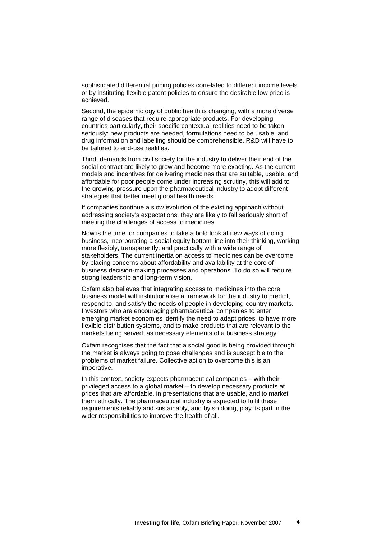sophisticated differential pricing policies correlated to different income levels or by instituting flexible patent policies to ensure the desirable low price is achieved.

Second, the epidemiology of public health is changing, with a more diverse range of diseases that require appropriate products. For developing countries particularly, their specific contextual realities need to be taken seriously: new products are needed, formulations need to be usable, and drug information and labelling should be comprehensible. R&D will have to be tailored to end-use realities.

Third, demands from civil society for the industry to deliver their end of the social contract are likely to grow and become more exacting. As the current models and incentives for delivering medicines that are suitable, usable, and affordable for poor people come under increasing scrutiny, this will add to the growing pressure upon the pharmaceutical industry to adopt different strategies that better meet global health needs.

If companies continue a slow evolution of the existing approach without addressing society's expectations, they are likely to fall seriously short of meeting the challenges of access to medicines.

Now is the time for companies to take a bold look at new ways of doing business, incorporating a social equity bottom line into their thinking, working more flexibly, transparently, and practically with a wide range of stakeholders. The current inertia on access to medicines can be overcome by placing concerns about affordability and availability at the core of business decision-making processes and operations. To do so will require strong leadership and long-term vision.

Oxfam also believes that integrating access to medicines into the core business model will institutionalise a framework for the industry to predict, respond to, and satisfy the needs of people in developing-country markets. Investors who are encouraging pharmaceutical companies to enter emerging market economies identify the need to adapt prices, to have more flexible distribution systems, and to make products that are relevant to the markets being served, as necessary elements of a business strategy.

Oxfam recognises that the fact that a social good is being provided through the market is always going to pose challenges and is susceptible to the problems of market failure. Collective action to overcome this is an imperative.

In this context, society expects pharmaceutical companies – with their privileged access to a global market – to develop necessary products at prices that are affordable, in presentations that are usable, and to market them ethically. The pharmaceutical industry is expected to fulfil these requirements reliably and sustainably, and by so doing, play its part in the wider responsibilities to improve the health of all.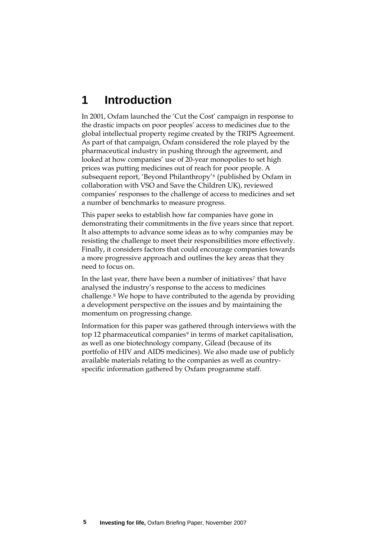# **1 Introduction**

In 2001, Oxfam launched the 'Cut the Cost' campaign in response to the drastic impacts on poor peoples' access to medicines due to the global intellectual property regime created by the TRIPS Agreement. As part of that campaign, Oxfam considered the role played by the pharmaceutical industry in pushing through the agreement, and looked at how companies' use of 20-year monopolies to set high prices was putting medicines out of reach for poor people. A subsequent report, 'Beyond Philanthropy'[6](#page-55-1) (published by Oxfam in collaboration with VSO and Save the Children UK), reviewed companies' responses to the challenge of access to medicines and set a number of benchmarks to measure progress.

This paper seeks to establish how far companies have gone in demonstrating their commitments in the five years since that report. It also attempts to advance some ideas as to why companies may be resisting the challenge to meet their responsibilities more effectively. Finally, it considers factors that could encourage companies towards a more progressive approach and outlines the key areas that they need to focus on.

In the last year, there have been a number of initiatives<sup>[7](#page-55-1)</sup> that have analysed the industry's response to the access to medicines challenge.[8](#page-55-1) We hope to have contributed to the agenda by providing a development perspective on the issues and by maintaining the momentum on progressing change.

Information for this paper was gathered through interviews with the top 12 pharmaceutical companies<sup>[9](#page-55-1)</sup> in terms of market capitalisation, as well as one biotechnology company, Gilead (because of its portfolio of HIV and AIDS medicines). We also made use of publicly available materials relating to the companies as well as countryspecific information gathered by Oxfam programme staff.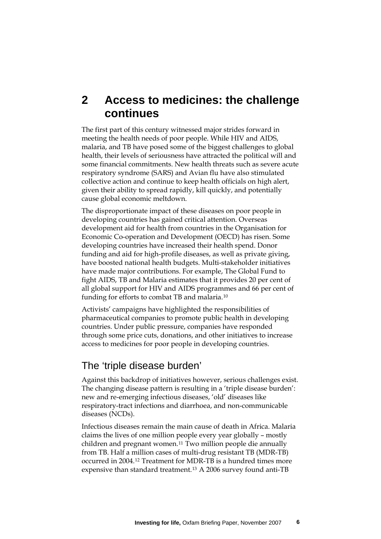# **2 Access to medicines: the challenge continues**

The first part of this century witnessed major strides forward in meeting the health needs of poor people. While HIV and AIDS, malaria, and TB have posed some of the biggest challenges to global health, their levels of seriousness have attracted the political will and some financial commitments. New health threats such as severe acute respiratory syndrome (SARS) and Avian flu have also stimulated collective action and continue to keep health officials on high alert, given their ability to spread rapidly, kill quickly, and potentially cause global economic meltdown.

The disproportionate impact of these diseases on poor people in developing countries has gained critical attention. Overseas development aid for health from countries in the Organisation for Economic Co-operation and Development (OECD) has risen. Some developing countries have increased their health spend. Donor funding and aid for high-profile diseases, as well as private giving, have boosted national health budgets. Multi-stakeholder initiatives have made major contributions. For example, The Global Fund to fight AIDS, TB and Malaria estimates that it provides 20 per cent of all global support for HIV and AIDS programmes and 66 per cent of funding for efforts to combat TB and malaria.[10](#page-55-1)

Activists' campaigns have highlighted the responsibilities of pharmaceutical companies to promote public health in developing countries. Under public pressure, companies have responded through some price cuts, donations, and other initiatives to increase access to medicines for poor people in developing countries.

## The 'triple disease burden'

Against this backdrop of initiatives however, serious challenges exist. The changing disease pattern is resulting in a 'triple disease burden': new and re-emerging infectious diseases, 'old' diseases like respiratory-tract infections and diarrhoea, and non-communicable diseases (NCDs).

Infectious diseases remain the main cause of death in Africa. Malaria claims the lives of one million people every year globally – mostly children and pregnant women.[11](#page-55-1) Two million people die annually from TB. Half a million cases of multi-drug resistant TB (MDR-TB) occurred in 2004.[12](#page-55-1) Treatment for MDR-TB is a hundred times more expensive than standard treatment.[13](#page-55-1) A 2006 survey found anti-TB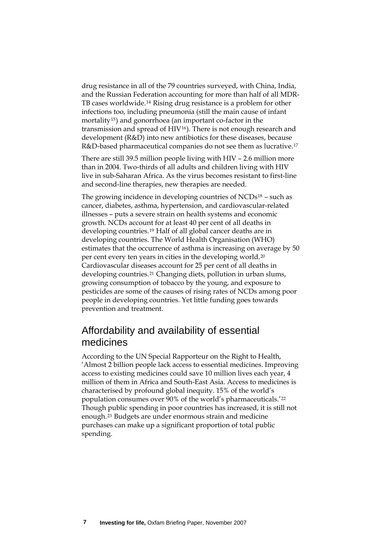drug resistance in all of the 79 countries surveyed, with China, India, and the Russian Federation accounting for more than half of all MDR-TB cases worldwide.[14](#page-55-1) Rising drug resistance is a problem for other infections too, including pneumonia (still the main cause of infant mortality[15](#page-55-1)) and gonorrhoea (an important co-factor in the transmission and spread of HIV[16](#page-55-1)). There is not enough research and development (R&D) into new antibiotics for these diseases, because R&D-based pharmaceutical companies do not see them as lucrative.[17](#page-55-1)

There are still 39.5 million people living with HIV – 2.6 million more than in 2004. Two-thirds of all adults and children living with HIV live in sub-Saharan Africa. As the virus becomes resistant to first-line and second-line therapies, new therapies are needed.

The growing incidence in developing countries of  $NCDs^{18}$  $NCDs^{18}$  $NCDs^{18}$  – such as cancer, diabetes, asthma, hypertension, and cardiovascular-related illnesses – puts a severe strain on health systems and economic growth. NCDs account for at least 40 per cent of all deaths in developing countries.[19](#page-55-1) Half of all global cancer deaths are in developing countries. The World Health Organisation (WHO) estimates that the occurrence of asthma is increasing on average by 50 per cent every ten years in cities in the developing world.[20](#page-55-1) Cardiovascular diseases account for 25 per cent of all deaths in developing countries.[21](#page-55-1) Changing diets, pollution in urban slums, growing consumption of tobacco by the young, and exposure to pesticides are some of the causes of rising rates of NCDs among poor people in developing countries. Yet little funding goes towards prevention and treatment.

## Affordability and availability of essential medicines

According to the UN Special Rapporteur on the Right to Health, 'Almost 2 billion people lack access to essential medicines. Improving access to existing medicines could save 10 million lives each year, 4 million of them in Africa and South-East Asia. Access to medicines is characterised by profound global inequity. 15% of the world's population consumes over 90% of the world's pharmaceuticals.'[22](#page-55-1) Though public spending in poor countries has increased, it is still not enough.[23](#page-55-1) Budgets are under enormous strain and medicine purchases can make up a significant proportion of total public spending.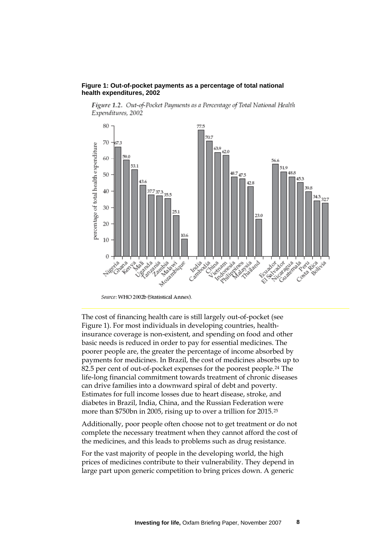#### **Figure 1: Out-of-pocket payments as a percentage of total national health expenditures, 2002**

Figure 1.2. Out-of-Pocket Payments as a Percentage of Total National Health Expenditures, 2002



Source: WHO 2002b (Statistical Annex).

The cost of financing health care is still largely out-of-pocket (see Figure 1). For most individuals in developing countries, healthinsurance coverage is non-existent, and spending on food and other basic needs is reduced in order to pay for essential medicines. The poorer people are, the greater the percentage of income absorbed by payments for medicines. In Brazil, the cost of medicines absorbs up to 82.5 per cent of out-of-pocket expenses for the poorest people.[24](#page-55-1) The life-long financial commitment towards treatment of chronic diseases can drive families into a downward spiral of debt and poverty. Estimates for full income losses due to heart disease, stroke, and diabetes in Brazil, India, China, and the Russian Federation were more than \$750bn in 2005, rising up to over a trillion for 2015.[25](#page-55-1)

Additionally, poor people often choose not to get treatment or do not complete the necessary treatment when they cannot afford the cost of the medicines, and this leads to problems such as drug resistance.

For the vast majority of people in the developing world, the high prices of medicines contribute to their vulnerability. They depend in large part upon generic competition to bring prices down. A generic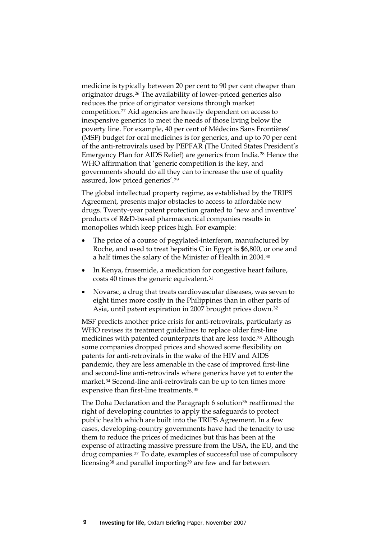medicine is typically between 20 per cent to 90 per cent cheaper than originator drugs.[26](#page-55-1) The availability of lower-priced generics also reduces the price of originator versions through market competition.[27](#page-55-1) Aid agencies are heavily dependent on access to inexpensive generics to meet the needs of those living below the poverty line. For example, 40 per cent of Médecins Sans Frontières' (MSF) budget for oral medicines is for generics, and up to 70 per cent of the anti-retrovirals used by PEPFAR (The United States President's Emergency Plan for AIDS Relief) are generics from India.[28](#page-55-1) Hence the WHO affirmation that 'generic competition is the key, and governments should do all they can to increase the use of quality assured, low priced generics'.[29](#page-55-1)

The global intellectual property regime, as established by the TRIPS Agreement, presents major obstacles to access to affordable new drugs. Twenty-year patent protection granted to 'new and inventive' products of R&D-based pharmaceutical companies results in monopolies which keep prices high. For example:

- The price of a course of pegylated-interferon, manufactured by Roche, and used to treat hepatitis C in Egypt is \$6,800, or one and a half times the salary of the Minister of Health in 2004.[30](#page-55-1)
- In Kenya, frusemide, a medication for congestive heart failure, costs 40 times the generic equivalent.[31](#page-55-1)
- Novarsc, a drug that treats cardiovascular diseases, was seven to eight times more costly in the Philippines than in other parts of Asia, until patent expiration in 2007 brought prices down.[32](#page-55-1)

MSF predicts another price crisis for anti-retrovirals, particularly as WHO revises its treatment guidelines to replace older first-line medicines with patented counterparts that are less toxic.[33](#page-55-1) Although some companies dropped prices and showed some flexibility on patents for anti-retrovirals in the wake of the HIV and AIDS pandemic, they are less amenable in the case of improved first-line and second-line anti-retrovirals where generics have yet to enter the market.[34](#page-55-1) Second-line anti-retrovirals can be up to ten times more expensive than first-line treatments.[35](#page-55-1)

The Doha Declaration and the Paragraph 6 solution<sup>[36](#page-55-1)</sup> reaffirmed the right of developing countries to apply the safeguards to protect public health which are built into the TRIPS Agreement. In a few cases, developing-country governments have had the tenacity to use them to reduce the prices of medicines but this has been at the expense of attracting massive pressure from the USA, the EU, and the drug companies.[37](#page-55-1) To date, examples of successful use of compulsory licensing<sup>[38](#page-55-1)</sup> and parallel importing<sup>[39](#page-55-1)</sup> are few and far between.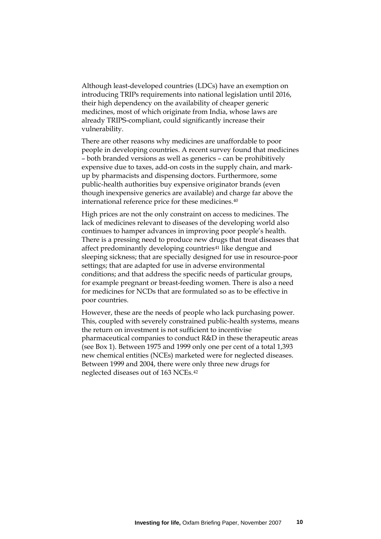Although least-developed countries (LDCs) have an exemption on introducing TRIPs requirements into national legislation until 2016, their high dependency on the availability of cheaper generic medicines, most of which originate from India, whose laws are already TRIPS-compliant, could significantly increase their vulnerability.

There are other reasons why medicines are unaffordable to poor people in developing countries. A recent survey found that medicines – both branded versions as well as generics – can be prohibitively expensive due to taxes, add-on costs in the supply chain, and markup by pharmacists and dispensing doctors. Furthermore, some public-health authorities buy expensive originator brands (even though inexpensive generics are available) and charge far above the international reference price for these medicines.[40](#page-55-1)

High prices are not the only constraint on access to medicines. The lack of medicines relevant to diseases of the developing world also continues to hamper advances in improving poor people's health. There is a pressing need to produce new drugs that treat diseases that affect predominantly developing countries<sup>[41](#page-55-1)</sup> like dengue and sleeping sickness; that are specially designed for use in resource-poor settings; that are adapted for use in adverse environmental conditions; and that address the specific needs of particular groups, for example pregnant or breast-feeding women. There is also a need for medicines for NCDs that are formulated so as to be effective in poor countries.

However, these are the needs of people who lack purchasing power. This, coupled with severely constrained public-health systems, means the return on investment is not sufficient to incentivise pharmaceutical companies to conduct R&D in these therapeutic areas (see Box 1). Between 1975 and 1999 only one per cent of a total 1,393 new chemical entities (NCEs) marketed were for neglected diseases. Between 1999 and 2004, there were only three new drugs for neglected diseases out of 163 NCEs.[42](#page-55-1)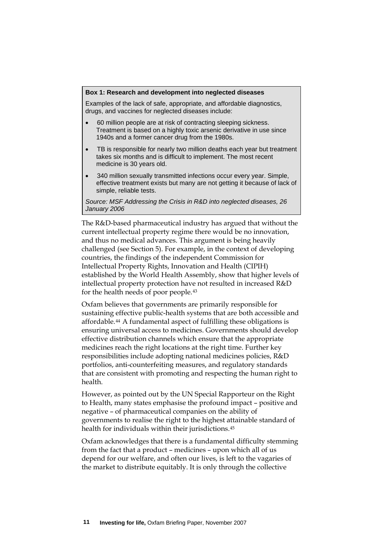#### **Box 1: Research and development into neglected diseases**

Examples of the lack of safe, appropriate, and affordable diagnostics, drugs, and vaccines for neglected diseases include:

- 60 million people are at risk of contracting sleeping sickness. Treatment is based on a highly toxic arsenic derivative in use since 1940s and a former cancer drug from the 1980s.
- TB is responsible for nearly two million deaths each year but treatment takes six months and is difficult to implement. The most recent medicine is 30 years old.
- 340 million sexually transmitted infections occur every year. Simple, effective treatment exists but many are not getting it because of lack of simple, reliable tests.

*Source: MSF Addressing the Crisis in R&D into neglected diseases, 26 January 2006*

The R&D-based pharmaceutical industry has argued that without the current intellectual property regime there would be no innovation, and thus no medical advances. This argument is being heavily challenged (see Section 5). For example, in the context of developing countries, the findings of the independent Commission for Intellectual Property Rights, Innovation and Health (CIPIH) established by the World Health Assembly, show that higher levels of intellectual property protection have not resulted in increased R&D for the health needs of poor people.[43](#page-55-1)

Oxfam believes that governments are primarily responsible for sustaining effective public-health systems that are both accessible and affordable.[44](#page-55-1) A fundamental aspect of fulfilling these obligations is ensuring universal access to medicines. Governments should develop effective distribution channels which ensure that the appropriate medicines reach the right locations at the right time. Further key responsibilities include adopting national medicines policies, R&D portfolios, anti-counterfeiting measures, and regulatory standards that are consistent with promoting and respecting the human right to health.

However, as pointed out by the UN Special Rapporteur on the Right to Health, many states emphasise the profound impact – positive and negative – of pharmaceutical companies on the ability of governments to realise the right to the highest attainable standard of health for individuals within their jurisdictions.[45](#page-55-1)

Oxfam acknowledges that there is a fundamental difficulty stemming from the fact that a product – medicines – upon which all of us depend for our welfare, and often our lives, is left to the vagaries of the market to distribute equitably. It is only through the collective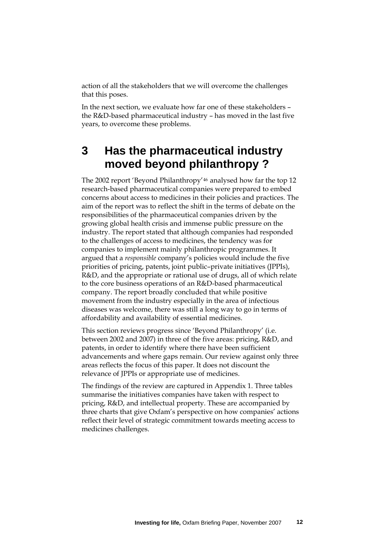action of all the stakeholders that we will overcome the challenges that this poses.

In the next section, we evaluate how far one of these stakeholders – the R&D-based pharmaceutical industry – has moved in the last five years, to overcome these problems.

# **3 Has the pharmaceutical industry moved beyond philanthropy ?**

The 2002 report 'Beyond Philanthropy'[46](#page-55-1) analysed how far the top 12 research-based pharmaceutical companies were prepared to embed concerns about access to medicines in their policies and practices. The aim of the report was to reflect the shift in the terms of debate on the responsibilities of the pharmaceutical companies driven by the growing global health crisis and immense public pressure on the industry. The report stated that although companies had responded to the challenges of access to medicines, the tendency was for companies to implement mainly philanthropic programmes. It argued that a *responsible* company's policies would include the five priorities of pricing, patents, joint public–private initiatives (JPPIs), R&D, and the appropriate or rational use of drugs, all of which relate to the core business operations of an R&D-based pharmaceutical company. The report broadly concluded that while positive movement from the industry especially in the area of infectious diseases was welcome, there was still a long way to go in terms of affordability and availability of essential medicines.

This section reviews progress since 'Beyond Philanthropy' (i.e. between 2002 and 2007) in three of the five areas: pricing, R&D, and patents, in order to identify where there have been sufficient advancements and where gaps remain. Our review against only three areas reflects the focus of this paper. It does not discount the relevance of JPPIs or appropriate use of medicines.

The findings of the review are captured in Appendix 1. Three tables summarise the initiatives companies have taken with respect to pricing, R&D, and intellectual property. These are accompanied by three charts that give Oxfam's perspective on how companies' actions reflect their level of strategic commitment towards meeting access to medicines challenges.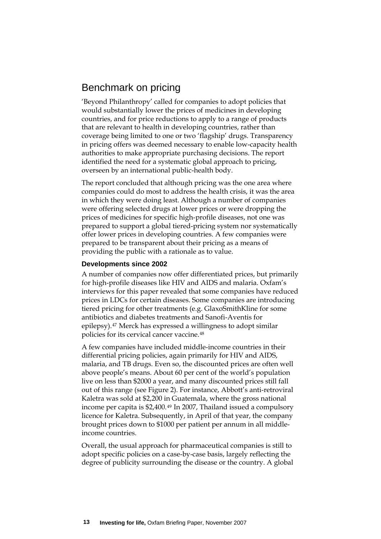## Benchmark on pricing

'Beyond Philanthropy' called for companies to adopt policies that would substantially lower the prices of medicines in developing countries, and for price reductions to apply to a range of products that are relevant to health in developing countries, rather than coverage being limited to one or two 'flagship' drugs. Transparency in pricing offers was deemed necessary to enable low-capacity health authorities to make appropriate purchasing decisions. The report identified the need for a systematic global approach to pricing, overseen by an international public-health body.

The report concluded that although pricing was the one area where companies could do most to address the health crisis, it was the area in which they were doing least. Although a number of companies were offering selected drugs at lower prices or were dropping the prices of medicines for specific high-profile diseases, not one was prepared to support a global tiered-pricing system nor systematically offer lower prices in developing countries. A few companies were prepared to be transparent about their pricing as a means of providing the public with a rationale as to value.

#### **Developments since 2002**

A number of companies now offer differentiated prices, but primarily for high-profile diseases like HIV and AIDS and malaria. Oxfam's interviews for this paper revealed that some companies have reduced prices in LDCs for certain diseases. Some companies are introducing tiered pricing for other treatments (e.g. GlaxoSmithKline for some antibiotics and diabetes treatments and Sanofi-Aventis for epilepsy).[47](#page-55-1) Merck has expressed a willingness to adopt similar policies for its cervical cancer vaccine.[48](#page-55-1)

A few companies have included middle-income countries in their differential pricing policies, again primarily for HIV and AIDS, malaria, and TB drugs. Even so, the discounted prices are often well above people's means. About 60 per cent of the world's population live on less than \$2000 a year, and many discounted prices still fall out of this range (see Figure 2). For instance, Abbott's anti-retroviral Kaletra was sold at \$2,200 in Guatemala, where the gross national income per capita is \$2,400.[49](#page-55-1) In 2007, Thailand issued a compulsory licence for Kaletra. Subsequently, in April of that year, the company brought prices down to \$1000 per patient per annum in all middleincome countries.

Overall, the usual approach for pharmaceutical companies is still to adopt specific policies on a case-by-case basis, largely reflecting the degree of publicity surrounding the disease or the country. A global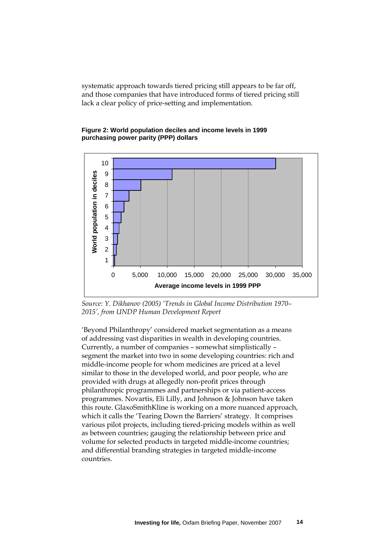systematic approach towards tiered pricing still appears to be far off, and those companies that have introduced forms of tiered pricing still lack a clear policy of price-setting and implementation.

#### **Figure 2: World population deciles and income levels in 1999 purchasing power parity (PPP) dollars**



*Source: Y. Dikhanov (2005) 'Trends in Global Income Distribution 1970– 2015', from UNDP Human Development Report* 

'Beyond Philanthropy' considered market segmentation as a means of addressing vast disparities in wealth in developing countries. Currently, a number of companies – somewhat simplistically – segment the market into two in some developing countries: rich and middle-income people for whom medicines are priced at a level similar to those in the developed world, and poor people, who are provided with drugs at allegedly non-profit prices through philanthropic programmes and partnerships or via patient-access programmes. Novartis, Eli Lilly, and Johnson & Johnson have taken this route. GlaxoSmithKline is working on a more nuanced approach, which it calls the 'Tearing Down the Barriers' strategy. It comprises various pilot projects, including tiered-pricing models within as well as between countries; gauging the relationship between price and volume for selected products in targeted middle-income countries; and differential branding strategies in targeted middle-income countries.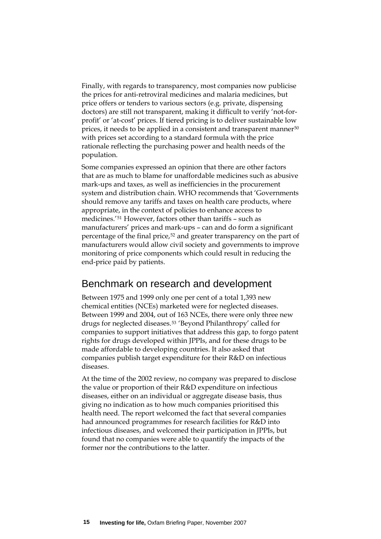Finally, with regards to transparency, most companies now publicise the prices for anti-retroviral medicines and malaria medicines, but price offers or tenders to various sectors (e.g. private, dispensing doctors) are still not transparent, making it difficult to verify 'not-forprofit' or 'at-cost' prices. If tiered pricing is to deliver sustainable low prices, it needs to be applied in a consistent and transparent manner<sup>[50](#page-55-1)</sup> with prices set according to a standard formula with the price rationale reflecting the purchasing power and health needs of the population.

Some companies expressed an opinion that there are other factors that are as much to blame for unaffordable medicines such as abusive mark-ups and taxes, as well as inefficiencies in the procurement system and distribution chain. WHO recommends that 'Governments should remove any tariffs and taxes on health care products, where appropriate, in the context of policies to enhance access to medicines.'[51](#page-55-1) However, factors other than tariffs – such as manufacturers' prices and mark-ups – can and do form a significant percentage of the final price,[52](#page-55-1) and greater transparency on the part of manufacturers would allow civil society and governments to improve monitoring of price components which could result in reducing the end-price paid by patients.

### Benchmark on research and development

Between 1975 and 1999 only one per cent of a total 1,393 new chemical entities (NCEs) marketed were for neglected diseases. Between 1999 and 2004, out of 163 NCEs, there were only three new drugs for neglected diseases.[53](#page-55-1) 'Beyond Philanthropy' called for companies to support initiatives that address this gap, to forgo patent rights for drugs developed within JPPIs, and for these drugs to be made affordable to developing countries. It also asked that companies publish target expenditure for their R&D on infectious diseases.

At the time of the 2002 review, no company was prepared to disclose the value or proportion of their R&D expenditure on infectious diseases, either on an individual or aggregate disease basis, thus giving no indication as to how much companies prioritised this health need. The report welcomed the fact that several companies had announced programmes for research facilities for R&D into infectious diseases, and welcomed their participation in JPPIs, but found that no companies were able to quantify the impacts of the former nor the contributions to the latter.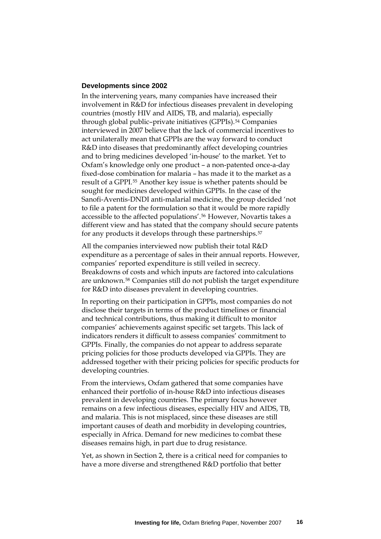#### **Developments since 2002**

In the intervening years, many companies have increased their involvement in R&D for infectious diseases prevalent in developing countries (mostly HIV and AIDS, TB, and malaria), especially through global public-private initiatives (GPPIs).<sup>[54](#page-55-1)</sup> Companies interviewed in 2007 believe that the lack of commercial incentives to act unilaterally mean that GPPIs are the way forward to conduct R&D into diseases that predominantly affect developing countries and to bring medicines developed 'in-house' to the market. Yet to Oxfam's knowledge only one product – a non-patented once-a-day fixed-dose combination for malaria – has made it to the market as a result of a GPPI.[55](#page-55-1) Another key issue is whether patents should be sought for medicines developed within GPPIs. In the case of the Sanofi-Aventis-DNDI anti-malarial medicine, the group decided 'not to file a patent for the formulation so that it would be more rapidly accessible to the affected populations'.[56](#page-55-1) However, Novartis takes a different view and has stated that the company should secure patents for any products it develops through these partnerships.<sup>[57](#page-55-1)</sup>

All the companies interviewed now publish their total R&D expenditure as a percentage of sales in their annual reports. However, companies' reported expenditure is still veiled in secrecy. Breakdowns of costs and which inputs are factored into calculations are unknown.[58](#page-55-1) Companies still do not publish the target expenditure for R&D into diseases prevalent in developing countries.

In reporting on their participation in GPPIs, most companies do not disclose their targets in terms of the product timelines or financial and technical contributions, thus making it difficult to monitor companies' achievements against specific set targets. This lack of indicators renders it difficult to assess companies' commitment to GPPIs. Finally, the companies do not appear to address separate pricing policies for those products developed via GPPIs. They are addressed together with their pricing policies for specific products for developing countries.

From the interviews, Oxfam gathered that some companies have enhanced their portfolio of in-house R&D into infectious diseases prevalent in developing countries. The primary focus however remains on a few infectious diseases, especially HIV and AIDS, TB, and malaria. This is not misplaced, since these diseases are still important causes of death and morbidity in developing countries, especially in Africa. Demand for new medicines to combat these diseases remains high, in part due to drug resistance.

Yet, as shown in Section 2, there is a critical need for companies to have a more diverse and strengthened R&D portfolio that better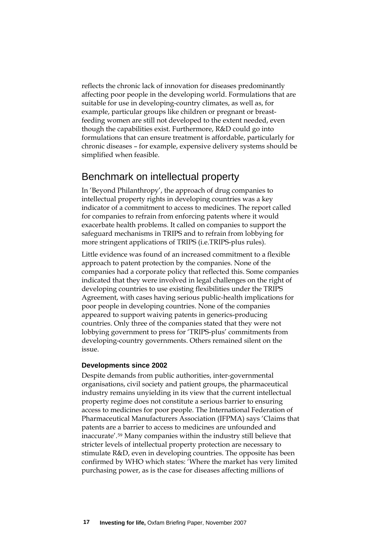reflects the chronic lack of innovation for diseases predominantly affecting poor people in the developing world. Formulations that are suitable for use in developing-country climates, as well as, for example, particular groups like children or pregnant or breastfeeding women are still not developed to the extent needed, even though the capabilities exist. Furthermore, R&D could go into formulations that can ensure treatment is affordable, particularly for chronic diseases – for example, expensive delivery systems should be simplified when feasible.

## Benchmark on intellectual property

In 'Beyond Philanthropy', the approach of drug companies to intellectual property rights in developing countries was a key indicator of a commitment to access to medicines. The report called for companies to refrain from enforcing patents where it would exacerbate health problems. It called on companies to support the safeguard mechanisms in TRIPS and to refrain from lobbying for more stringent applications of TRIPS (i.e.TRIPS-plus rules).

Little evidence was found of an increased commitment to a flexible approach to patent protection by the companies. None of the companies had a corporate policy that reflected this. Some companies indicated that they were involved in legal challenges on the right of developing countries to use existing flexibilities under the TRIPS Agreement, with cases having serious public-health implications for poor people in developing countries. None of the companies appeared to support waiving patents in generics-producing countries. Only three of the companies stated that they were not lobbying government to press for 'TRIPS-plus' commitments from developing-country governments. Others remained silent on the issue.

#### **Developments since 2002**

Despite demands from public authorities, inter-governmental organisations, civil society and patient groups, the pharmaceutical industry remains unyielding in its view that the current intellectual property regime does not constitute a serious barrier to ensuring access to medicines for poor people. The International Federation of Pharmaceutical Manufacturers Association (IFPMA) says 'Claims that patents are a barrier to access to medicines are unfounded and inaccurate'.[59](#page-55-1) Many companies within the industry still believe that stricter levels of intellectual property protection are necessary to stimulate R&D, even in developing countries. The opposite has been confirmed by WHO which states: 'Where the market has very limited purchasing power, as is the case for diseases affecting millions of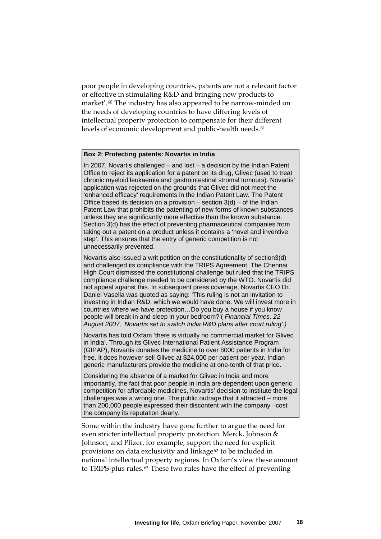poor people in developing countries, patents are not a relevant factor or effective in stimulating R&D and bringing new products to market'.[60](#page-55-1) The industry has also appeared to be narrow-minded on the needs of developing countries to have differing levels of intellectual property protection to compensate for their different levels of economic development and public-health needs.<sup>[61](#page-55-1)</sup>

#### **Box 2: Protecting patents: Novartis in India**

In 2007, Novartis challenged – and lost – a decision by the Indian Patent Office to reject its application for a patent on its drug, Glivec (used to treat chronic myeloid leukaemia and gastrointestinal stromal tumours). Novartis' application was rejected on the grounds that Glivec did not meet the 'enhanced efficacy' requirements in the Indian Patent Law. The Patent Office based its decision on a provision  $-$  section  $3(d)$  – of the Indian Patent Law that prohibits the patenting of new forms of known substances unless they are significantly more effective than the known substance. Section 3(d) has the effect of preventing pharmaceutical companies from taking out a patent on a product unless it contains a 'novel and inventive step'. This ensures that the entry of generic competition is not unnecessarily prevented.

Novartis also issued a writ petition on the constitutionality of section3(d) and challenged its compliance with the TRIPS Agreement. The Chennai High Court dismissed the constitutional challenge but ruled that the TRIPS compliance challenge needed to be considered by the WTO. Novartis did not appeal against this. In subsequent press coverage, Novartis CEO Dr. Daniel Vasella was quoted as saying: 'This ruling is not an invitation to investing in Indian R&D, which we would have done. We will invest more in countries where we have protection…Do you buy a house if you know people will break in and sleep in your bedroom?'( *Financial Times, 22 August 2007, 'Novartis set to switch India R&D plans after court ruling'.)*

Novartis has told Oxfam 'there is virtually no commercial market for Glivec in India'. Through its Glivec International Patient Assistance Program (GIPAP), Novartis donates the medicine to over 8000 patients in India for free. It does however sell Glivec at \$24,000 per patient per year. Indian generic manufacturers provide the medicine at one-tenth of that price.

Considering the absence of a market for Glivec in India and more importantly, the fact that poor people in India are dependent upon generic competition for affordable medicines, Novartis' decision to institute the legal challenges was a wrong one. The public outrage that it attracted – more than 200,000 people expressed their discontent with the company –cost the company its reputation dearly.

Some within the industry have gone further to argue the need for even stricter intellectual property protection. Merck, Johnson & Johnson, and Pfizer, for example, support the need for explicit provisions on data exclusivity and linkage<sup>[62](#page-55-1)</sup> to be included in national intellectual property regimes. In Oxfam's view these amount to TRIPS-plus rules.[63](#page-55-1) These two rules have the effect of preventing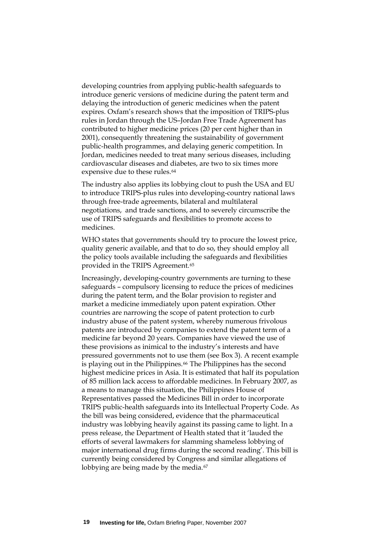developing countries from applying public-health safeguards to introduce generic versions of medicine during the patent term and delaying the introduction of generic medicines when the patent expires. Oxfam's research shows that the imposition of TRIPS-plus rules in Jordan through the US–Jordan Free Trade Agreement has contributed to higher medicine prices (20 per cent higher than in 2001), consequently threatening the sustainability of government public-health programmes, and delaying generic competition. In Jordan, medicines needed to treat many serious diseases, including cardiovascular diseases and diabetes, are two to six times more expensive due to these rules.<sup>[64](#page-55-1)</sup>

The industry also applies its lobbying clout to push the USA and EU to introduce TRIPS-plus rules into developing-country national laws through free-trade agreements, bilateral and multilateral negotiations, and trade sanctions, and to severely circumscribe the use of TRIPS safeguards and flexibilities to promote access to medicines.

WHO states that governments should try to procure the lowest price, quality generic available, and that to do so, they should employ all the policy tools available including the safeguards and flexibilities provided in the TRIPS Agreement.[65](#page-55-1)

Increasingly, developing-country governments are turning to these safeguards – compulsory licensing to reduce the prices of medicines during the patent term, and the Bolar provision to register and market a medicine immediately upon patent expiration. Other countries are narrowing the scope of patent protection to curb industry abuse of the patent system, whereby numerous frivolous patents are introduced by companies to extend the patent term of a medicine far beyond 20 years. Companies have viewed the use of these provisions as inimical to the industry's interests and have pressured governments not to use them (see Box 3). A recent example is playing out in the Philippines.<sup>[66](#page-55-1)</sup> The Philippines has the second highest medicine prices in Asia. It is estimated that half its population of 85 million lack access to affordable medicines. In February 2007, as a means to manage this situation, the Philippines House of Representatives passed the Medicines Bill in order to incorporate TRIPS public-health safeguards into its Intellectual Property Code. As the bill was being considered, evidence that the pharmaceutical industry was lobbying heavily against its passing came to light. In a press release, the Department of Health stated that it 'lauded the efforts of several lawmakers for slamming shameless lobbying of major international drug firms during the second reading'. This bill is currently being considered by Congress and similar allegations of lobbying are being made by the media.<sup>[67](#page-55-1)</sup>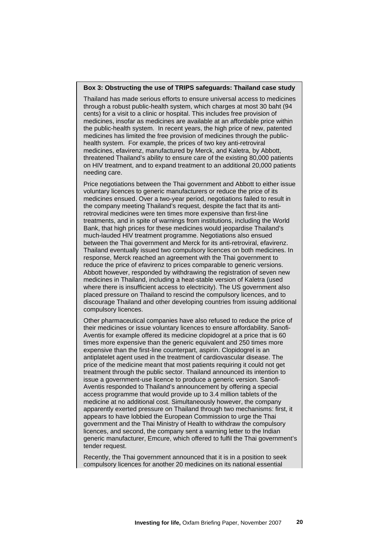#### **Box 3: Obstructing the use of TRIPS safeguards: Thailand case study**

Thailand has made serious efforts to ensure universal access to medicines through a robust public-health system, which charges at most 30 baht (94 cents) for a visit to a clinic or hospital. This includes free provision of medicines, insofar as medicines are available at an affordable price within the public-health system. In recent years, the high price of new, patented medicines has limited the free provision of medicines through the publichealth system. For example, the prices of two key anti-retroviral medicines, efavirenz, manufactured by Merck, and Kaletra, by Abbott, threatened Thailand's ability to ensure care of the existing 80,000 patients on HIV treatment, and to expand treatment to an additional 20,000 patients needing care.

Price negotiations between the Thai government and Abbott to either issue voluntary licences to generic manufacturers or reduce the price of its medicines ensued. Over a two-year period, negotiations failed to result in the company meeting Thailand's request, despite the fact that its antiretroviral medicines were ten times more expensive than first-line treatments, and in spite of warnings from institutions, including the World Bank, that high prices for these medicines would jeopardise Thailand's much-lauded HIV treatment programme. Negotiations also ensued between the Thai government and Merck for its anti-retroviral, efavirenz. Thailand eventually issued two compulsory licences on both medicines. In response, Merck reached an agreement with the Thai government to reduce the price of efavirenz to prices comparable to generic versions. Abbott however, responded by withdrawing the registration of seven new medicines in Thailand, including a heat-stable version of Kaletra (used where there is insufficient access to electricity). The US government also placed pressure on Thailand to rescind the compulsory licences, and to discourage Thailand and other developing countries from issuing additional compulsory licences.

Other pharmaceutical companies have also refused to reduce the price of their medicines or issue voluntary licences to ensure affordability. Sanofi-Aventis for example offered its medicine clopidogrel at a price that is 60 times more expensive than the generic equivalent and 250 times more expensive than the first-line counterpart, aspirin. Clopidogrel is an antiplatelet agent used in the treatment of cardiovascular disease. The price of the medicine meant that most patients requiring it could not get treatment through the public sector. Thailand announced its intention to issue a government-use licence to produce a generic version. Sanofi-Aventis responded to Thailand's announcement by offering a special access programme that would provide up to 3.4 million tablets of the medicine at no additional cost. Simultaneously however, the company apparently exerted pressure on Thailand through two mechanisms: first, it appears to have lobbied the European Commission to urge the Thai government and the Thai Ministry of Health to withdraw the compulsory licences, and second, the company sent a warning letter to the Indian generic manufacturer, Emcure, which offered to fulfil the Thai government's tender request.

Recently, the Thai government announced that it is in a position to seek compulsory licences for another 20 medicines on its national essential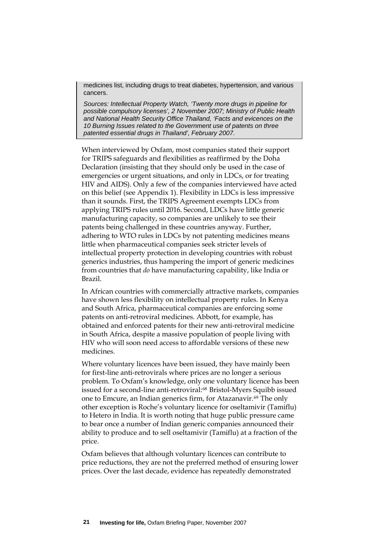medicines list, including drugs to treat diabetes, hypertension, and various cancers.

*Sources: Intellectual Property Watch, 'Twenty more drugs in pipeline for possible compulsory licenses', 2 November 2007; Ministry of Public Health and National Health Security Office Thailand, 'Facts and evicences on the 10 Burning Issues related to the Government use of patents on three patented essential drugs in Thailand', February 2007.*

When interviewed by Oxfam, most companies stated their support for TRIPS safeguards and flexibilities as reaffirmed by the Doha Declaration (insisting that they should only be used in the case of emergencies or urgent situations, and only in LDCs, or for treating HIV and AIDS). Only a few of the companies interviewed have acted on this belief (see Appendix 1). Flexibility in LDCs is less impressive than it sounds. First, the TRIPS Agreement exempts LDCs from applying TRIPS rules until 2016. Second, LDCs have little generic manufacturing capacity, so companies are unlikely to see their patents being challenged in these countries anyway. Further, adhering to WTO rules in LDCs by not patenting medicines means little when pharmaceutical companies seek stricter levels of intellectual property protection in developing countries with robust generics industries, thus hampering the import of generic medicines from countries that *do* have manufacturing capability, like India or Brazil.

In African countries with commercially attractive markets, companies have shown less flexibility on intellectual property rules. In Kenya and South Africa, pharmaceutical companies are enforcing some patents on anti-retroviral medicines. Abbott, for example, has obtained and enforced patents for their new anti-retroviral medicine in South Africa, despite a massive population of people living with HIV who will soon need access to affordable versions of these new medicines.

Where voluntary licences have been issued, they have mainly been for first-line anti-retrovirals where prices are no longer a serious problem. To Oxfam's knowledge, only one voluntary licence has been issued for a second-line anti-retroviral:[68](#page-55-1) Bristol-Myers Squibb issued one to Emcure, an Indian generics firm, for Atazanavir.[69](#page-55-1) The only other exception is Roche's voluntary licence for oseltamivir (Tamiflu) to Hetero in India. It is worth noting that huge public pressure came to bear once a number of Indian generic companies announced their ability to produce and to sell oseltamivir (Tamiflu) at a fraction of the price.

Oxfam believes that although voluntary licences can contribute to price reductions, they are not the preferred method of ensuring lower prices. Over the last decade, evidence has repeatedly demonstrated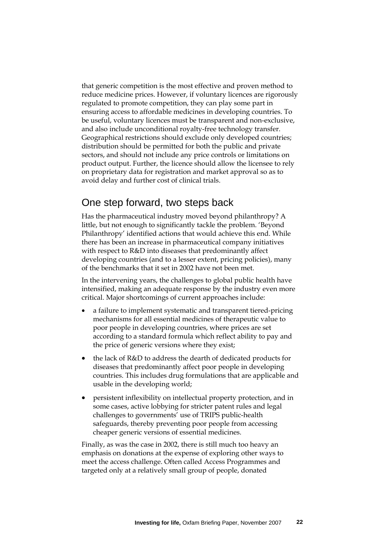that generic competition is the most effective and proven method to reduce medicine prices. However, if voluntary licences are rigorously regulated to promote competition, they can play some part in ensuring access to affordable medicines in developing countries. To be useful, voluntary licences must be transparent and non-exclusive, and also include unconditional royalty-free technology transfer. Geographical restrictions should exclude only developed countries; distribution should be permitted for both the public and private sectors, and should not include any price controls or limitations on product output. Further, the licence should allow the licensee to rely on proprietary data for registration and market approval so as to avoid delay and further cost of clinical trials.

## One step forward, two steps back

Has the pharmaceutical industry moved beyond philanthropy? A little, but not enough to significantly tackle the problem. 'Beyond Philanthropy' identified actions that would achieve this end. While there has been an increase in pharmaceutical company initiatives with respect to R&D into diseases that predominantly affect developing countries (and to a lesser extent, pricing policies), many of the benchmarks that it set in 2002 have not been met.

In the intervening years, the challenges to global public health have intensified, making an adequate response by the industry even more critical. Major shortcomings of current approaches include:

- a failure to implement systematic and transparent tiered-pricing mechanisms for all essential medicines of therapeutic value to poor people in developing countries, where prices are set according to a standard formula which reflect ability to pay and the price of generic versions where they exist;
- the lack of R&D to address the dearth of dedicated products for diseases that predominantly affect poor people in developing countries. This includes drug formulations that are applicable and usable in the developing world;
- persistent inflexibility on intellectual property protection, and in some cases, active lobbying for stricter patent rules and legal challenges to governments' use of TRIPS public-health safeguards, thereby preventing poor people from accessing cheaper generic versions of essential medicines.

Finally, as was the case in 2002, there is still much too heavy an emphasis on donations at the expense of exploring other ways to meet the access challenge. Often called Access Programmes and targeted only at a relatively small group of people, donated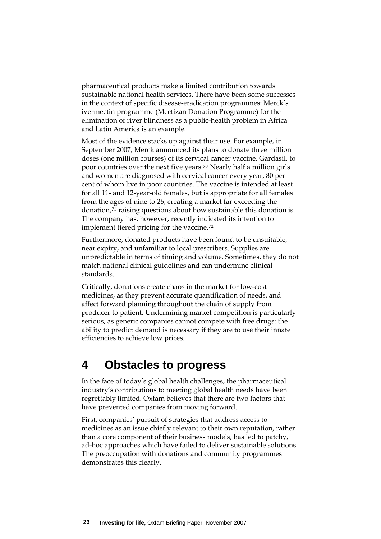pharmaceutical products make a limited contribution towards sustainable national health services. There have been some successes in the context of specific disease-eradication programmes: Merck's ivermectin programme (Mectizan Donation Programme) for the elimination of river blindness as a public-health problem in Africa and Latin America is an example.

Most of the evidence stacks up against their use. For example, in September 2007, Merck announced its plans to donate three million doses (one million courses) of its cervical cancer vaccine, Gardasil, to poor countries over the next five years.[70](#page-55-1) Nearly half a million girls and women are diagnosed with cervical cancer every year, 80 per cent of whom live in poor countries. The vaccine is intended at least for all 11- and 12-year-old females, but is appropriate for all females from the ages of nine to 26, creating a market far exceeding the donation,[71](#page-55-1) raising questions about how sustainable this donation is. The company has, however, recently indicated its intention to implement tiered pricing for the vaccine.[72](#page-55-1)

Furthermore, donated products have been found to be unsuitable, near expiry, and unfamiliar to local prescribers. Supplies are unpredictable in terms of timing and volume. Sometimes, they do not match national clinical guidelines and can undermine clinical standards.

Critically, donations create chaos in the market for low-cost medicines, as they prevent accurate quantification of needs, and affect forward planning throughout the chain of supply from producer to patient. Undermining market competition is particularly serious, as generic companies cannot compete with free drugs: the ability to predict demand is necessary if they are to use their innate efficiencies to achieve low prices.

# **4 Obstacles to progress**

In the face of today's global health challenges, the pharmaceutical industry's contributions to meeting global health needs have been regrettably limited. Oxfam believes that there are two factors that have prevented companies from moving forward.

First, companies' pursuit of strategies that address access to medicines as an issue chiefly relevant to their own reputation, rather than a core component of their business models, has led to patchy, ad-hoc approaches which have failed to deliver sustainable solutions. The preoccupation with donations and community programmes demonstrates this clearly.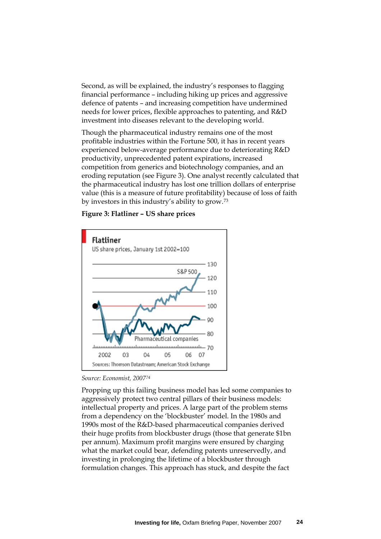Second, as will be explained, the industry's responses to flagging financial performance – including hiking up prices and aggressive defence of patents – and increasing competition have undermined needs for lower prices, flexible approaches to patenting, and R&D investment into diseases relevant to the developing world.

Though the pharmaceutical industry remains one of the most profitable industries within the Fortune 500, it has in recent years experienced below-average performance due to deteriorating R&D productivity, unprecedented patent expirations, increased competition from generics and biotechnology companies, and an eroding reputation (see Figure 3). One analyst recently calculated that the pharmaceutical industry has lost one trillion dollars of enterprise value (this is a measure of future profitability) because of loss of faith by investors in this industry's ability to grow.[73](#page-55-1)

#### **Figure 3: Flatliner – US share prices**



*Source: Economist, 2007[74](#page-55-1)*

Propping up this failing business model has led some companies to aggressively protect two central pillars of their business models: intellectual property and prices. A large part of the problem stems from a dependency on the 'blockbuster' model. In the 1980s and 1990s most of the R&D-based pharmaceutical companies derived their huge profits from blockbuster drugs (those that generate \$1bn per annum). Maximum profit margins were ensured by charging what the market could bear, defending patents unreservedly, and investing in prolonging the lifetime of a blockbuster through formulation changes. This approach has stuck, and despite the fact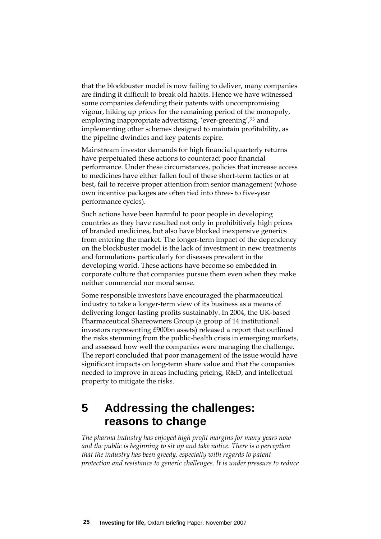that the blockbuster model is now failing to deliver, many companies are finding it difficult to break old habits. Hence we have witnessed some companies defending their patents with uncompromising vigour, hiking up prices for the remaining period of the monopoly, employing inappropriate advertising, 'ever-greening',[75](#page-55-1) and implementing other schemes designed to maintain profitability, as the pipeline dwindles and key patents expire.

Mainstream investor demands for high financial quarterly returns have perpetuated these actions to counteract poor financial performance. Under these circumstances, policies that increase access to medicines have either fallen foul of these short-term tactics or at best, fail to receive proper attention from senior management (whose own incentive packages are often tied into three- to five-year performance cycles).

Such actions have been harmful to poor people in developing countries as they have resulted not only in prohibitively high prices of branded medicines, but also have blocked inexpensive generics from entering the market. The longer-term impact of the dependency on the blockbuster model is the lack of investment in new treatments and formulations particularly for diseases prevalent in the developing world. These actions have become so embedded in corporate culture that companies pursue them even when they make neither commercial nor moral sense.

Some responsible investors have encouraged the pharmaceutical industry to take a longer-term view of its business as a means of delivering longer-lasting profits sustainably. In 2004, the UK-based Pharmaceutical Shareowners Group (a group of 14 institutional investors representing £900bn assets) released a report that outlined the risks stemming from the public-health crisis in emerging markets, and assessed how well the companies were managing the challenge. The report concluded that poor management of the issue would have significant impacts on long-term share value and that the companies needed to improve in areas including pricing, R&D, and intellectual property to mitigate the risks.

# **5 Addressing the challenges: reasons to change**

*The pharma industry has enjoyed high profit margins for many years now and the public is beginning to sit up and take notice. There is a perception that the industry has been greedy, especially with regards to patent protection and resistance to generic challenges. It is under pressure to reduce*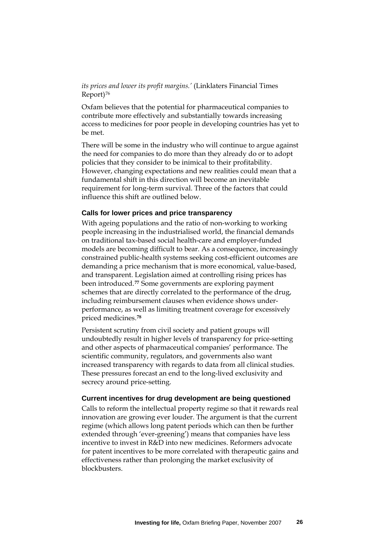*its prices and lower its profit margins.'* (Linklaters Financial Times Report)[76](#page-55-1)

Oxfam believes that the potential for pharmaceutical companies to contribute more effectively and substantially towards increasing access to medicines for poor people in developing countries has yet to be met.

There will be some in the industry who will continue to argue against the need for companies to do more than they already do or to adopt policies that they consider to be inimical to their profitability. However, changing expectations and new realities could mean that a fundamental shift in this direction will become an inevitable requirement for long-term survival. Three of the factors that could influence this shift are outlined below.

#### **Calls for lower prices and price transparency**

With ageing populations and the ratio of non-working to working people increasing in the industrialised world, the financial demands on traditional tax-based social health-care and employer-funded models are becoming difficult to bear. As a consequence, increasingly constrained public-health systems seeking cost-efficient outcomes are demanding a price mechanism that is more economical, value-based, and transparent. Legislation aimed at controlling rising prices has been introduced.**[77](#page-55-1)** Some governments are exploring payment schemes that are directly correlated to the performance of the drug, including reimbursement clauses when evidence shows underperformance, as well as limiting treatment coverage for excessively priced medicines.**[78](#page-55-1)**

Persistent scrutiny from civil society and patient groups will undoubtedly result in higher levels of transparency for price-setting and other aspects of pharmaceutical companies' performance. The scientific community, regulators, and governments also want increased transparency with regards to data from all clinical studies. These pressures forecast an end to the long-lived exclusivity and secrecy around price-setting.

#### **Current incentives for drug development are being questioned**

Calls to reform the intellectual property regime so that it rewards real innovation are growing ever louder. The argument is that the current regime (which allows long patent periods which can then be further extended through 'ever-greening') means that companies have less incentive to invest in R&D into new medicines. Reformers advocate for patent incentives to be more correlated with therapeutic gains and effectiveness rather than prolonging the market exclusivity of blockbusters.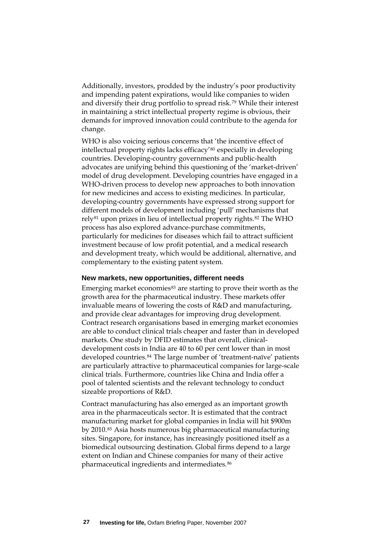Additionally, investors, prodded by the industry's poor productivity and impending patent expirations, would like companies to widen and diversify their drug portfolio to spread risk.[79](#page-55-1) While their interest in maintaining a strict intellectual property regime is obvious, their demands for improved innovation could contribute to the agenda for change.

WHO is also voicing serious concerns that 'the incentive effect of intellectual property rights lacks efficacy'[80](#page-55-1) especially in developing countries. Developing-country governments and public-health advocates are unifying behind this questioning of the 'market-driven' model of drug development. Developing countries have engaged in a WHO-driven process to develop new approaches to both innovation for new medicines and access to existing medicines. In particular, developing-country governments have expressed strong support for different models of development including 'pull' mechanisms that rely<sup>[81](#page-55-1)</sup> upon prizes in lieu of intellectual property rights.<sup>[82](#page-55-1)</sup> The WHO process has also explored advance-purchase commitments, particularly for medicines for diseases which fail to attract sufficient investment because of low profit potential, and a medical research and development treaty, which would be additional, alternative, and complementary to the existing patent system.

#### **New markets, new opportunities, different needs**

Emerging market economies<sup>[83](#page-55-1)</sup> are starting to prove their worth as the growth area for the pharmaceutical industry. These markets offer invaluable means of lowering the costs of R&D and manufacturing, and provide clear advantages for improving drug development. Contract research organisations based in emerging market economies are able to conduct clinical trials cheaper and faster than in developed markets. One study by DFID estimates that overall, clinicaldevelopment costs in India are 40 to 60 per cent lower than in most developed countries.<sup>[84](#page-55-1)</sup> The large number of 'treatment-naïve' patients are particularly attractive to pharmaceutical companies for large-scale clinical trials. Furthermore, countries like China and India offer a pool of talented scientists and the relevant technology to conduct sizeable proportions of R&D.

Contract manufacturing has also emerged as an important growth area in the pharmaceuticals sector. It is estimated that the contract manufacturing market for global companies in India will hit \$900m by 2010.[85](#page-55-1) Asia hosts numerous big pharmaceutical manufacturing sites. Singapore, for instance, has increasingly positioned itself as a biomedical outsourcing destination. Global firms depend to a large extent on Indian and Chinese companies for many of their active pharmaceutical ingredients and intermediates.[86](#page-55-1)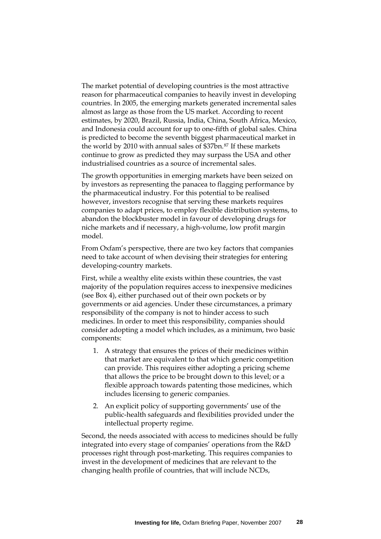The market potential of developing countries is the most attractive reason for pharmaceutical companies to heavily invest in developing countries. In 2005, the emerging markets generated incremental sales almost as large as those from the US market. According to recent estimates, by 2020, Brazil, Russia, India, China, South Africa, Mexico, and Indonesia could account for up to one-fifth of global sales. China is predicted to become the seventh biggest pharmaceutical market in the world by 2010 with annual sales of \$37bn.[87](#page-55-1) If these markets continue to grow as predicted they may surpass the USA and other industrialised countries as a source of incremental sales.

The growth opportunities in emerging markets have been seized on by investors as representing the panacea to flagging performance by the pharmaceutical industry. For this potential to be realised however, investors recognise that serving these markets requires companies to adapt prices, to employ flexible distribution systems, to abandon the blockbuster model in favour of developing drugs for niche markets and if necessary, a high-volume, low profit margin model.

From Oxfam's perspective, there are two key factors that companies need to take account of when devising their strategies for entering developing-country markets.

First, while a wealthy elite exists within these countries, the vast majority of the population requires access to inexpensive medicines (see Box 4), either purchased out of their own pockets or by governments or aid agencies. Under these circumstances, a primary responsibility of the company is not to hinder access to such medicines. In order to meet this responsibility, companies should consider adopting a model which includes, as a minimum, two basic components:

- 1. A strategy that ensures the prices of their medicines within that market are equivalent to that which generic competition can provide. This requires either adopting a pricing scheme that allows the price to be brought down to this level; or a flexible approach towards patenting those medicines, which includes licensing to generic companies.
- 2. An explicit policy of supporting governments' use of the public-health safeguards and flexibilities provided under the intellectual property regime.

Second, the needs associated with access to medicines should be fully integrated into every stage of companies' operations from the R&D processes right through post-marketing. This requires companies to invest in the development of medicines that are relevant to the changing health profile of countries, that will include NCDs,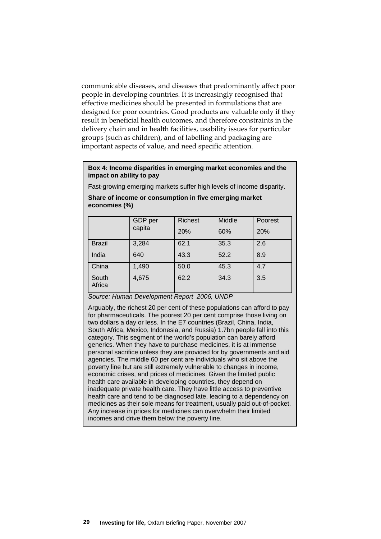communicable diseases, and diseases that predominantly affect poor people in developing countries. It is increasingly recognised that effective medicines should be presented in formulations that are designed for poor countries. Good products are valuable only if they result in beneficial health outcomes, and therefore constraints in the delivery chain and in health facilities, usability issues for particular groups (such as children), and of labelling and packaging are important aspects of value, and need specific attention.

#### **Box 4: Income disparities in emerging market economies and the impact on ability to pay**

Fast-growing emerging markets suffer high levels of income disparity.

|                 | GDP per<br>capita | <b>Richest</b><br>20% | Middle<br>60% | Poorest<br>20% |
|-----------------|-------------------|-----------------------|---------------|----------------|
| <b>Brazil</b>   | 3,284             | 62.1                  | 35.3          | 2.6            |
| India           | 640               | 43.3                  | 52.2          | 8.9            |
| China           | 1,490             | 50.0                  | 45.3          | 4.7            |
| South<br>Africa | 4,675             | 62.2                  | 34.3          | 3.5            |

#### **Share of income or consumption in five emerging market economies (%)**

*Source: Human Development Report 2006, UNDP* 

Arguably, the richest 20 per cent of these populations can afford to pay for pharmaceuticals. The poorest 20 per cent comprise those living on two dollars a day or less. In the E7 countries (Brazil, China, India, South Africa, Mexico, Indonesia, and Russia) 1.7bn people fall into this category. This segment of the world's population can barely afford generics. When they have to purchase medicines, it is at immense personal sacrifice unless they are provided for by governments and aid agencies. The middle 60 per cent are individuals who sit above the poverty line but are still extremely vulnerable to changes in income, economic crises, and prices of medicines. Given the limited public health care available in developing countries, they depend on inadequate private health care. They have little access to preventive health care and tend to be diagnosed late, leading to a dependency on medicines as their sole means for treatment, usually paid out-of-pocket. Any increase in prices for medicines can overwhelm their limited incomes and drive them below the poverty line.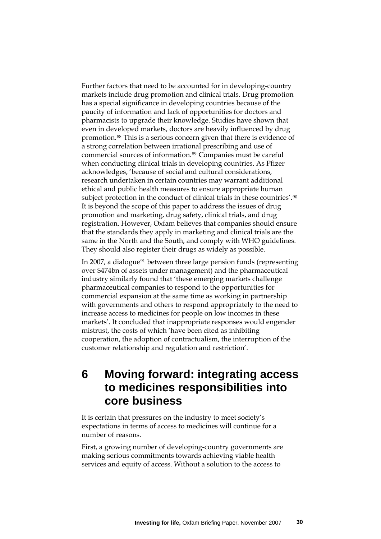Further factors that need to be accounted for in developing-country markets include drug promotion and clinical trials. Drug promotion has a special significance in developing countries because of the paucity of information and lack of opportunities for doctors and pharmacists to upgrade their knowledge. Studies have shown that even in developed markets, doctors are heavily influenced by drug promotion.[88](#page-55-1) This is a serious concern given that there is evidence of a strong correlation between irrational prescribing and use of commercial sources of information.[89](#page-55-1) Companies must be careful when conducting clinical trials in developing countries. As Pfizer acknowledges, 'because of social and cultural considerations, research undertaken in certain countries may warrant additional ethical and public health measures to ensure appropriate human subject protection in the conduct of clinical trials in these countries'.[90](#page-55-1) It is beyond the scope of this paper to address the issues of drug promotion and marketing, drug safety, clinical trials, and drug registration. However, Oxfam believes that companies should ensure that the standards they apply in marketing and clinical trials are the same in the North and the South, and comply with WHO guidelines. They should also register their drugs as widely as possible.

In 2007, a dialogue<sup>[91](#page-55-1)</sup> between three large pension funds (representing over \$474bn of assets under management) and the pharmaceutical industry similarly found that 'these emerging markets challenge pharmaceutical companies to respond to the opportunities for commercial expansion at the same time as working in partnership with governments and others to respond appropriately to the need to increase access to medicines for people on low incomes in these markets'. It concluded that inappropriate responses would engender mistrust, the costs of which 'have been cited as inhibiting cooperation, the adoption of contractualism, the interruption of the customer relationship and regulation and restriction'.

# **6 Moving forward: integrating access to medicines responsibilities into core business**

It is certain that pressures on the industry to meet society's expectations in terms of access to medicines will continue for a number of reasons.

First, a growing number of developing-country governments are making serious commitments towards achieving viable health services and equity of access. Without a solution to the access to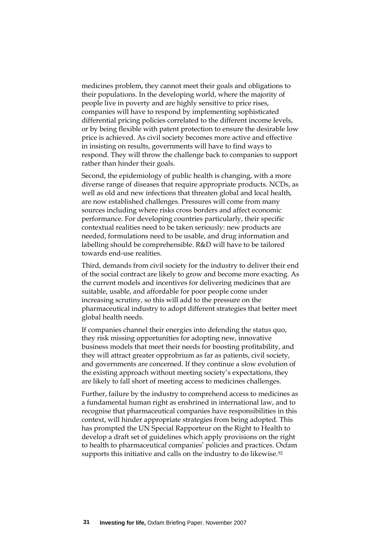medicines problem, they cannot meet their goals and obligations to their populations. In the developing world, where the majority of people live in poverty and are highly sensitive to price rises, companies will have to respond by implementing sophisticated differential pricing policies correlated to the different income levels, or by being flexible with patent protection to ensure the desirable low price is achieved. As civil society becomes more active and effective in insisting on results, governments will have to find ways to respond. They will throw the challenge back to companies to support rather than hinder their goals.

Second, the epidemiology of public health is changing, with a more diverse range of diseases that require appropriate products. NCDs, as well as old and new infections that threaten global and local health, are now established challenges. Pressures will come from many sources including where risks cross borders and affect economic performance. For developing countries particularly, their specific contextual realities need to be taken seriously: new products are needed, formulations need to be usable, and drug information and labelling should be comprehensible. R&D will have to be tailored towards end-use realities.

Third, demands from civil society for the industry to deliver their end of the social contract are likely to grow and become more exacting. As the current models and incentives for delivering medicines that are suitable, usable, and affordable for poor people come under increasing scrutiny, so this will add to the pressure on the pharmaceutical industry to adopt different strategies that better meet global health needs.

If companies channel their energies into defending the status quo, they risk missing opportunities for adopting new, innovative business models that meet their needs for boosting profitability, and they will attract greater opprobrium as far as patients, civil society, and governments are concerned. If they continue a slow evolution of the existing approach without meeting society's expectations, they are likely to fall short of meeting access to medicines challenges.

Further, failure by the industry to comprehend access to medicines as a fundamental human right as enshrined in international law, and to recognise that pharmaceutical companies have responsibilities in this context, will hinder appropriate strategies from being adopted. This has prompted the UN Special Rapporteur on the Right to Health to develop a draft set of guidelines which apply provisions on the right to health to pharmaceutical companies' policies and practices. Oxfam supports this initiative and calls on the industry to do likewise.<sup>[92](#page-55-1)</sup>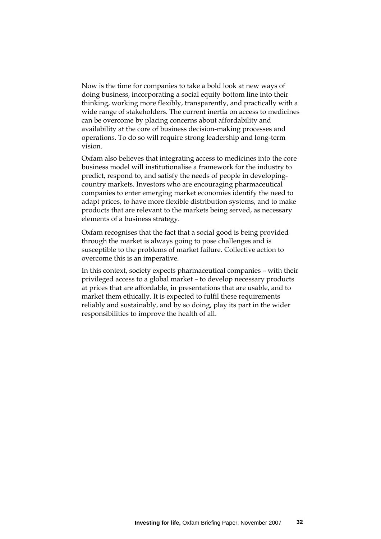Now is the time for companies to take a bold look at new ways of doing business, incorporating a social equity bottom line into their thinking, working more flexibly, transparently, and practically with a wide range of stakeholders. The current inertia on access to medicines can be overcome by placing concerns about affordability and availability at the core of business decision-making processes and operations. To do so will require strong leadership and long-term vision.

Oxfam also believes that integrating access to medicines into the core business model will institutionalise a framework for the industry to predict, respond to, and satisfy the needs of people in developingcountry markets. Investors who are encouraging pharmaceutical companies to enter emerging market economies identify the need to adapt prices, to have more flexible distribution systems, and to make products that are relevant to the markets being served, as necessary elements of a business strategy.

Oxfam recognises that the fact that a social good is being provided through the market is always going to pose challenges and is susceptible to the problems of market failure. Collective action to overcome this is an imperative.

In this context, society expects pharmaceutical companies – with their privileged access to a global market – to develop necessary products at prices that are affordable, in presentations that are usable, and to market them ethically. It is expected to fulfil these requirements reliably and sustainably, and by so doing, play its part in the wider responsibilities to improve the health of all.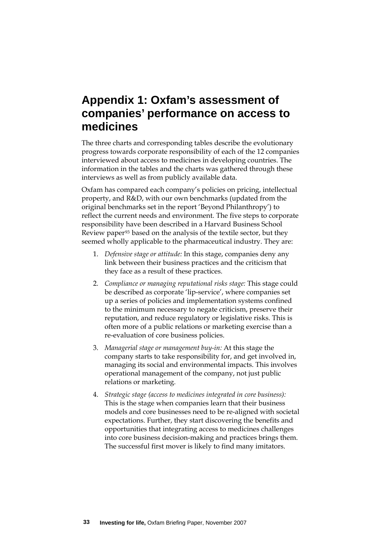# **Appendix 1: Oxfam's assessment of companies' performance on access to medicines**

The three charts and corresponding tables describe the evolutionary progress towards corporate responsibility of each of the 12 companies interviewed about access to medicines in developing countries. The information in the tables and the charts was gathered through these interviews as well as from publicly available data.

Oxfam has compared each company's policies on pricing, intellectual property, and R&D, with our own benchmarks (updated from the original benchmarks set in the report 'Beyond Philanthropy') to reflect the current needs and environment. The five steps to corporate responsibility have been described in a Harvard Business School Review paper[93](#page-55-1) based on the analysis of the textile sector, but they seemed wholly applicable to the pharmaceutical industry. They are:

- 1. *Defensive stage or attitude:* In this stage, companies deny any link between their business practices and the criticism that they face as a result of these practices.
- 2. *Compliance or managing reputational risks stage:* This stage could be described as corporate 'lip-service', where companies set up a series of policies and implementation systems confined to the minimum necessary to negate criticism, preserve their reputation, and reduce regulatory or legislative risks. This is often more of a public relations or marketing exercise than a re-evaluation of core business policies.
- 3. *Managerial stage or management buy-in:* At this stage the company starts to take responsibility for, and get involved in, managing its social and environmental impacts. This involves operational management of the company, not just public relations or marketing.
- 4. *Strategic stage (access to medicines integrated in core business):* This is the stage when companies learn that their business models and core businesses need to be re-aligned with societal expectations. Further, they start discovering the benefits and opportunities that integrating access to medicines challenges into core business decision-making and practices brings them. The successful first mover is likely to find many imitators.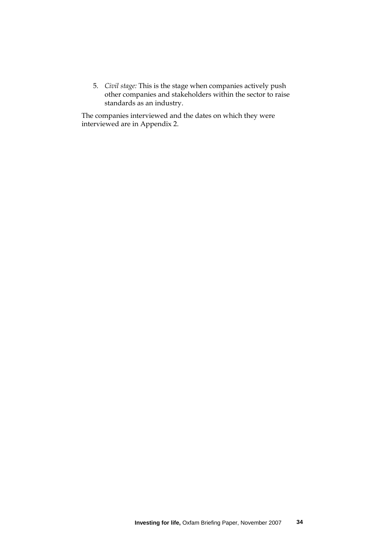5. *Civil stage:* This is the stage when companies actively push other companies and stakeholders within the sector to raise standards as an industry.

The companies interviewed and the dates on which they were interviewed are in Appendix 2.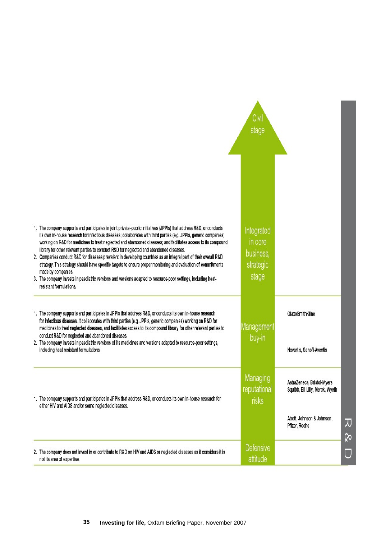|                                                                                                                                                                                                                                                                                                                                                                                                                                                                                                                                                                                                                                                                                                                                                                                                                                                               | Civil<br>stage                                                                                                                                        |   |
|---------------------------------------------------------------------------------------------------------------------------------------------------------------------------------------------------------------------------------------------------------------------------------------------------------------------------------------------------------------------------------------------------------------------------------------------------------------------------------------------------------------------------------------------------------------------------------------------------------------------------------------------------------------------------------------------------------------------------------------------------------------------------------------------------------------------------------------------------------------|-------------------------------------------------------------------------------------------------------------------------------------------------------|---|
| 1. The company supports and participates in joint private-public initiatives (JPPIs) that address R&D, or conducts<br>its own in-house research for infectious diseases; collaborates with third parties (e.g. JPPIs, generic companies)<br>working on R&D for medicines to treat neglected and abandoned diseases; and facilitates access to its compound<br>library for other relevant parties to conduct R&D for neglected and abandoned diseases.<br>2. Companies conduct R&D for diseases prevalent in developing countries as an integral part of their overall R&D<br>strategy. This strategy should have specific targets to ensure proper monitoring and evaluation of commitments<br>made by companies.<br>3. The company invests in paediatric versions and versions adapted to resource-poor settings, including heat-<br>resistant formulations. | Integrated<br>in core<br>business,<br>strategic<br>stage                                                                                              |   |
| 1. The company supports and participates in JPPIs that address R&D, or conducts its own in-house research<br>for infectious diseases. It collaborates with third parties (e.g. JPPIs, generic companies) working on R&D for<br>medicines to treat neglected diseases, and facilitates access to its compound library for other relevant parties to<br>conduct R&D for neglected and abandoned diseases.<br>2. The company invests in paediatric versions of its medicines and versions adapted to resource-poor settings,<br>including heat resistant formulations.                                                                                                                                                                                                                                                                                           | GlaxoSmithKline<br>Management<br>buy-in<br>Novartis, Sanofi-Aventis                                                                                   |   |
| 1. The company supports and participates in JPPIs that address R&D, or conducts its own in-house research for<br>either HIV and AIDS and/or some neglected diseases.                                                                                                                                                                                                                                                                                                                                                                                                                                                                                                                                                                                                                                                                                          | Managing<br>AstraZeneca, Bristol-Myers<br>reputational<br>Squibb, Eli Lilly, Merck, Wyeth<br>risks<br>Abott, Johnson & Johnson,<br>꼬<br>Pfizer, Roche |   |
| 2. The company does not invest in or contribute to R&D on HIV and AIDS or neglected diseases as it considers it is<br>not its area of expertise.                                                                                                                                                                                                                                                                                                                                                                                                                                                                                                                                                                                                                                                                                                              | <b>Defensive</b><br>Ū<br>attitude                                                                                                                     | ჯ |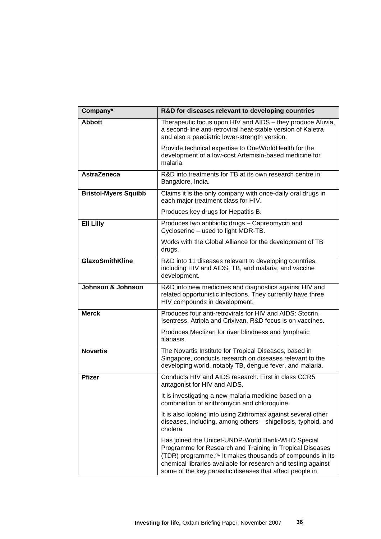| Company*                    | R&D for diseases relevant to developing countries                                                                                                                                                                                                                                                                   |
|-----------------------------|---------------------------------------------------------------------------------------------------------------------------------------------------------------------------------------------------------------------------------------------------------------------------------------------------------------------|
| <b>Abbott</b>               | Therapeutic focus upon HIV and AIDS - they produce Aluvia,<br>a second-line anti-retroviral heat-stable version of Kaletra<br>and also a paediatric lower-strength version.                                                                                                                                         |
|                             | Provide technical expertise to OneWorldHealth for the<br>development of a low-cost Artemisin-based medicine for<br>malaria.                                                                                                                                                                                         |
| <b>AstraZeneca</b>          | R&D into treatments for TB at its own research centre in<br>Bangalore, India.                                                                                                                                                                                                                                       |
| <b>Bristol-Myers Squibb</b> | Claims it is the only company with once-daily oral drugs in<br>each major treatment class for HIV.                                                                                                                                                                                                                  |
|                             | Produces key drugs for Hepatitis B.                                                                                                                                                                                                                                                                                 |
| Eli Lilly                   | Produces two antibiotic drugs - Capreomycin and<br>Cycloserine - used to fight MDR-TB.                                                                                                                                                                                                                              |
|                             | Works with the Global Alliance for the development of TB<br>drugs.                                                                                                                                                                                                                                                  |
| <b>GlaxoSmithKline</b>      | R&D into 11 diseases relevant to developing countries,<br>including HIV and AIDS, TB, and malaria, and vaccine<br>development.                                                                                                                                                                                      |
| Johnson & Johnson           | R&D into new medicines and diagnostics against HIV and<br>related opportunistic infections. They currently have three<br>HIV compounds in development.                                                                                                                                                              |
| <b>Merck</b>                | Produces four anti-retrovirals for HIV and AIDS: Stocrin,<br>Isentress, Atripla and Crixivan. R&D focus is on vaccines.                                                                                                                                                                                             |
|                             | Produces Mectizan for river blindness and lymphatic<br>filariasis.                                                                                                                                                                                                                                                  |
| <b>Novartis</b>             | The Novartis Institute for Tropical Diseases, based in<br>Singapore, conducts research on diseases relevant to the<br>developing world, notably TB, dengue fever, and malaria.                                                                                                                                      |
| <b>Pfizer</b>               | Conducts HIV and AIDS research. First in class CCR5<br>antagonist for HIV and AIDS.                                                                                                                                                                                                                                 |
|                             | It is investigating a new malaria medicine based on a<br>combination of azithromycin and chloroquine.                                                                                                                                                                                                               |
|                             | It is also looking into using Zithromax against several other<br>diseases, including, among others - shigellosis, typhoid, and<br>cholera.                                                                                                                                                                          |
|                             | Has joined the Unicef-UNDP-World Bank-WHO Special<br>Programme for Research and Training in Tropical Diseases<br>(TDR) programme. <sup>94</sup> It makes thousands of compounds in its<br>chemical libraries available for research and testing against<br>some of the key parasitic diseases that affect people in |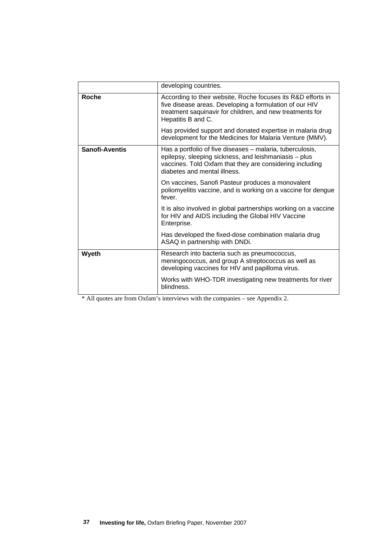|                       | developing countries.                                                                                                                                                                                          |
|-----------------------|----------------------------------------------------------------------------------------------------------------------------------------------------------------------------------------------------------------|
| <b>Roche</b>          | According to their website, Roche focuses its R&D efforts in<br>five disease areas. Developing a formulation of our HIV<br>treatment saquinavir for children, and new treatments for<br>Hepatitis B and C.     |
|                       | Has provided support and donated expertise in malaria drug<br>development for the Medicines for Malaria Venture (MMV).                                                                                         |
| <b>Sanofi-Aventis</b> | Has a portfolio of five diseases – malaria, tuberculosis,<br>epilepsy, sleeping sickness, and leishmaniasis - plus<br>vaccines. Told Oxfam that they are considering including<br>diabetes and mental illness. |
|                       | On vaccines, Sanofi Pasteur produces a monovalent<br>poliomyelitis vaccine, and is working on a vaccine for dengue<br>fever.                                                                                   |
|                       | It is also involved in global partnerships working on a vaccine<br>for HIV and AIDS including the Global HIV Vaccine<br>Enterprise.                                                                            |
|                       | Has developed the fixed-dose combination malaria drug<br>ASAQ in partnership with DNDi.                                                                                                                        |
| Wyeth                 | Research into bacteria such as pneumococcus,<br>meningococcus, and group A streptococcus as well as<br>developing vaccines for HIV and papilloma virus.                                                        |
|                       | Works with WHO-TDR investigating new treatments for river<br>blindness.                                                                                                                                        |

\* All quotes are from Oxfam's interviews with the companies – see Appendix 2.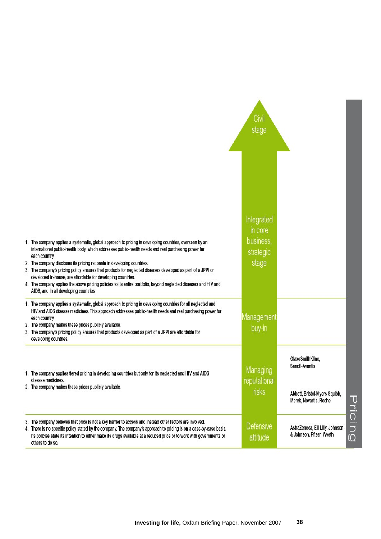|                                                                                                                                                                                                                                                                                                                                                                                                                                                                                                                                                                                                                                                         | Civil<br>stage                                           |                                                                                               |         |
|---------------------------------------------------------------------------------------------------------------------------------------------------------------------------------------------------------------------------------------------------------------------------------------------------------------------------------------------------------------------------------------------------------------------------------------------------------------------------------------------------------------------------------------------------------------------------------------------------------------------------------------------------------|----------------------------------------------------------|-----------------------------------------------------------------------------------------------|---------|
| 1. The company applies a systematic, global approach to pricing in developing countries, overseen by an<br>international public-health body, which addresses public-health needs and real purchasing power for<br>each country.<br>2. The company discloses its pricing rationale in developing countries.<br>3. The company's pricing policy ensures that products for neglected diseases developed as part of a JPPI or<br>developed in-house, are affordable for developing countries.<br>4. The company applies the above pricing policies to its entire portfolio, beyond neglected diseases and HIV and<br>AIDS, and in all developing countries. | Integrated<br>in core<br>business,<br>strategic<br>stage |                                                                                               |         |
| 1. The company applies a systematic, global approach to pricing in developing countries for all neglected and<br>HIV and AIDS disease medicines. This approach addresses public-health needs and real purchasing power for<br>each country.<br>2. The company makes these prices publicly available.<br>3. The company's pricing policy ensures that products developed as part of a JPPI are affordable for<br>developing countries.                                                                                                                                                                                                                   | Management<br>buy-in                                     |                                                                                               |         |
| 1. The company applies tiered pricing in developing countries but only for its neglected and HIV and AIDS<br>disease medicines.<br>2. The company makes these prices publicly available.                                                                                                                                                                                                                                                                                                                                                                                                                                                                | Managing<br>reputational<br>risks                        | GlaxoSmithKline,<br>Sanofi-Aventis<br>Abbott, Bristol-Myers Squibb,<br>Merck, Novartis, Roche |         |
| 3. The company believes that price is not a key barrier to access and instead other factors are involved.<br>4. There is no specific policy stated by the company. The company's approach to pricing is on a case-by-case basis.<br>Its policies state its intention to either make its drugs available at a reduced price or to work with governments or<br>others to do so.                                                                                                                                                                                                                                                                           | <b>Defensive</b><br>attitude                             | AstraZeneca, Eli Lilly, Johnson<br>& Johnson, Pfizer, Wyeth                                   | Pricing |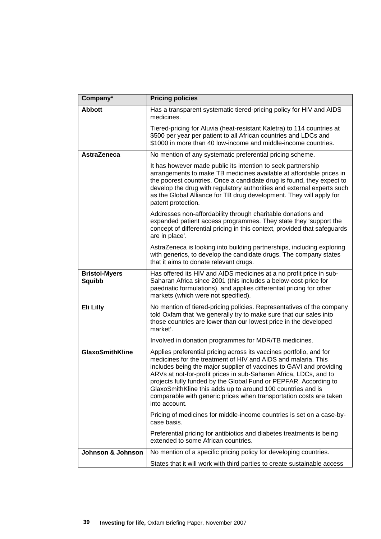| Company*                              | <b>Pricing policies</b>                                                                                                                                                                                                                                                                                                                                                                                                                                                                                    |
|---------------------------------------|------------------------------------------------------------------------------------------------------------------------------------------------------------------------------------------------------------------------------------------------------------------------------------------------------------------------------------------------------------------------------------------------------------------------------------------------------------------------------------------------------------|
| <b>Abbott</b>                         | Has a transparent systematic tiered-pricing policy for HIV and AIDS<br>medicines.                                                                                                                                                                                                                                                                                                                                                                                                                          |
|                                       | Tiered-pricing for Aluvia (heat-resistant Kaletra) to 114 countries at<br>\$500 per year per patient to all African countries and LDCs and<br>\$1000 in more than 40 low-income and middle-income countries.                                                                                                                                                                                                                                                                                               |
| <b>AstraZeneca</b>                    | No mention of any systematic preferential pricing scheme.                                                                                                                                                                                                                                                                                                                                                                                                                                                  |
|                                       | It has however made public its intention to seek partnership<br>arrangements to make TB medicines available at affordable prices in<br>the poorest countries. Once a candidate drug is found, they expect to<br>develop the drug with regulatory authorities and external experts such<br>as the Global Alliance for TB drug development. They will apply for<br>patent protection.                                                                                                                        |
|                                       | Addresses non-affordability through charitable donations and<br>expanded patient access programmes. They state they 'support the<br>concept of differential pricing in this context, provided that safeguards<br>are in place'.                                                                                                                                                                                                                                                                            |
|                                       | AstraZeneca is looking into building partnerships, including exploring<br>with generics, to develop the candidate drugs. The company states<br>that it aims to donate relevant drugs.                                                                                                                                                                                                                                                                                                                      |
| <b>Bristol-Myers</b><br><b>Squibb</b> | Has offered its HIV and AIDS medicines at a no profit price in sub-<br>Saharan Africa since 2001 (this includes a below-cost-price for<br>paedriatic formulations), and applies differential pricing for other<br>markets (which were not specified).                                                                                                                                                                                                                                                      |
| Eli Lilly                             | No mention of tiered-pricing policies. Representatives of the company<br>told Oxfam that 'we generally try to make sure that our sales into<br>those countries are lower than our lowest price in the developed<br>market'.                                                                                                                                                                                                                                                                                |
|                                       | Involved in donation programmes for MDR/TB medicines.                                                                                                                                                                                                                                                                                                                                                                                                                                                      |
| <b>GlaxoSmithKline</b>                | Applies preferential pricing across its vaccines portfolio, and for<br>medicines for the treatment of HIV and AIDS and malaria. This<br>includes being the major supplier of vaccines to GAVI and providing<br>ARVs at not-for-profit prices in sub-Saharan Africa, LDCs, and to<br>projects fully funded by the Global Fund or PEPFAR. According to<br>GlaxoSmithKline this adds up to around 100 countries and is<br>comparable with generic prices when transportation costs are taken<br>into account. |
|                                       | Pricing of medicines for middle-income countries is set on a case-by-<br>case basis.                                                                                                                                                                                                                                                                                                                                                                                                                       |
|                                       | Preferential pricing for antibiotics and diabetes treatments is being<br>extended to some African countries.                                                                                                                                                                                                                                                                                                                                                                                               |
| Johnson & Johnson                     | No mention of a specific pricing policy for developing countries.                                                                                                                                                                                                                                                                                                                                                                                                                                          |
|                                       | States that it will work with third parties to create sustainable access                                                                                                                                                                                                                                                                                                                                                                                                                                   |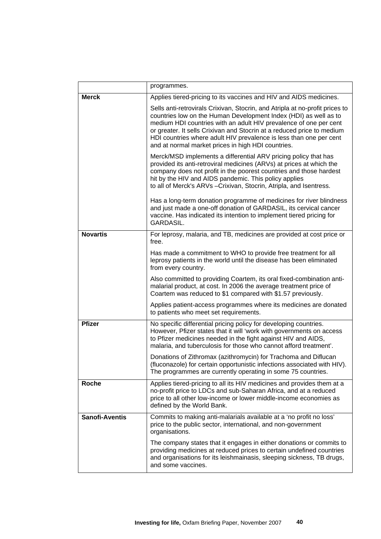|                       | programmes.                                                                                                                                                                                                                                                                                                                                                                                                                 |
|-----------------------|-----------------------------------------------------------------------------------------------------------------------------------------------------------------------------------------------------------------------------------------------------------------------------------------------------------------------------------------------------------------------------------------------------------------------------|
| <b>Merck</b>          | Applies tiered-pricing to its vaccines and HIV and AIDS medicines.                                                                                                                                                                                                                                                                                                                                                          |
|                       | Sells anti-retrovirals Crixivan, Stocrin, and Atripla at no-profit prices to<br>countries low on the Human Development Index (HDI) as well as to<br>medium HDI countries with an adult HIV prevalence of one per cent<br>or greater. It sells Crixivan and Stocrin at a reduced price to medium<br>HDI countries where adult HIV prevalence is less than one per cent<br>and at normal market prices in high HDI countries. |
|                       | Merck/MSD implements a differential ARV pricing policy that has<br>provided its anti-retroviral medicines (ARVs) at prices at which the<br>company does not profit in the poorest countries and those hardest<br>hit by the HIV and AIDS pandemic. This policy applies<br>to all of Merck's ARVs - Crixivan, Stocrin, Atripla, and Isentress.                                                                               |
|                       | Has a long-term donation programme of medicines for river blindness<br>and just made a one-off donation of GARDASIL, its cervical cancer<br>vaccine. Has indicated its intention to implement tiered pricing for<br><b>GARDASIL.</b>                                                                                                                                                                                        |
| <b>Novartis</b>       | For leprosy, malaria, and TB, medicines are provided at cost price or<br>free.                                                                                                                                                                                                                                                                                                                                              |
|                       | Has made a commitment to WHO to provide free treatment for all<br>leprosy patients in the world until the disease has been eliminated<br>from every country.                                                                                                                                                                                                                                                                |
|                       | Also committed to providing Coartem, its oral fixed-combination anti-<br>malarial product, at cost. In 2006 the average treatment price of<br>Coartem was reduced to \$1 compared with \$1.57 previously.                                                                                                                                                                                                                   |
|                       | Applies patient-access programmes where its medicines are donated<br>to patients who meet set requirements.                                                                                                                                                                                                                                                                                                                 |
| <b>Pfizer</b>         | No specific differential pricing policy for developing countries.<br>However, Pfizer states that it will 'work with governments on access<br>to Pfizer medicines needed in the fight against HIV and AIDS,<br>malaria, and tuberculosis for those who cannot afford treatment'.                                                                                                                                             |
|                       | Donations of Zithromax (azithromycin) for Trachoma and Diflucan<br>(fluconazole) for certain opportunistic infections associated with HIV)<br>The programmes are currently operating in some 75 countries.                                                                                                                                                                                                                  |
| <b>Roche</b>          | Applies tiered-pricing to all its HIV medicines and provides them at a<br>no-profit price to LDCs and sub-Saharan Africa, and at a reduced<br>price to all other low-income or lower middle-income economies as<br>defined by the World Bank.                                                                                                                                                                               |
| <b>Sanofi-Aventis</b> | Commits to making anti-malarials available at a 'no profit no loss'<br>price to the public sector, international, and non-government<br>organisations.                                                                                                                                                                                                                                                                      |
|                       | The company states that it engages in either donations or commits to<br>providing medicines at reduced prices to certain undefined countries<br>and organisations for its leishmainasis, sleeping sickness, TB drugs,<br>and some vaccines.                                                                                                                                                                                 |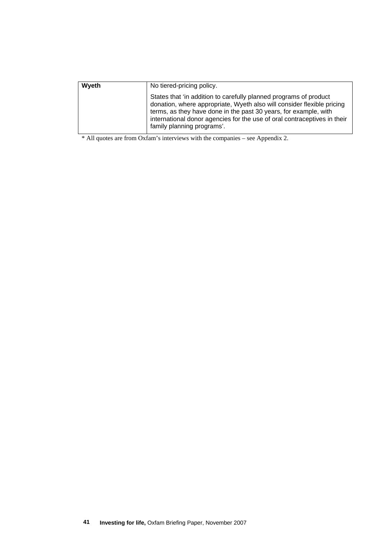| Wyeth | No tiered-pricing policy.                                                                                                                                                                                                                                                                                                 |  |
|-------|---------------------------------------------------------------------------------------------------------------------------------------------------------------------------------------------------------------------------------------------------------------------------------------------------------------------------|--|
|       | States that 'in addition to carefully planned programs of product<br>donation, where appropriate, Wyeth also will consider flexible pricing<br>terms, as they have done in the past 30 years, for example, with<br>international donor agencies for the use of oral contraceptives in their<br>family planning programs'. |  |

\* All quotes are from Oxfam's interviews with the companies – see Appendix 2.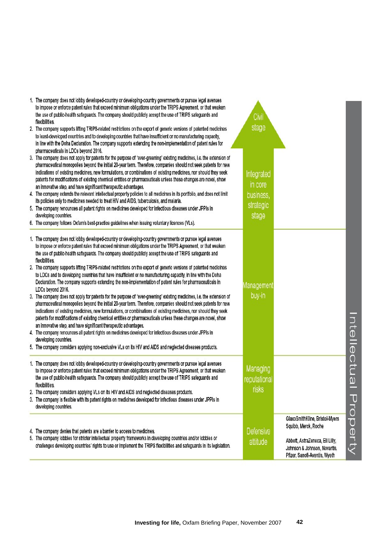| 1. The company does not lobby developed-country or developing-country governments or pursue legal avenues<br>to impose or enforce patent rules that exceed minimum obligations under the TRIPS Agreement, or that weaken<br>the use of public-health safeguards. The company should publicly accept the use of TRIPS safeguards and<br>flexibilities.                                                                                                                                                                                                | Civil                    |                                                                                                  |                                   |
|------------------------------------------------------------------------------------------------------------------------------------------------------------------------------------------------------------------------------------------------------------------------------------------------------------------------------------------------------------------------------------------------------------------------------------------------------------------------------------------------------------------------------------------------------|--------------------------|--------------------------------------------------------------------------------------------------|-----------------------------------|
| 2. The company supports lifting TRIPS-related restrictions on the export of generic versions of patented medicines<br>to least-developed countries and to developing countries that have insufficient or no manufacturing capacity,<br>in line with the Doha Declaration. The company supports extending the non-implementation of patent rules for<br>pharmaceuticals in LDCs beyond 2016.                                                                                                                                                          | stage                    |                                                                                                  |                                   |
| 3. The company does not apply for patents for the purpose of 'ever-greening' existing medicines, i.e. the extension of<br>pharmaceutical monopolies beyond the initial 20-year term. Therefore, companies should not seek patents for new<br>indications of existing medicines, new formulations, or combinations of existing medicines, nor should they seek<br>patents for modifications of existing chemical entities or pharmaceuticals unless these changes are novel, show<br>an innovative step, and have significant therapeutic advantages. | Integrated<br>in core    |                                                                                                  |                                   |
| 4. The company extends the relevant intellectual property policies to all medicines in its portfolio, and does not limit                                                                                                                                                                                                                                                                                                                                                                                                                             | business,                |                                                                                                  |                                   |
| its policies only to medicines needed to treat HIV and AIDS, tuberculosis, and malaria.<br>5. The company renounces all patent rights on medicines developed for infectious diseases under JPPIs in                                                                                                                                                                                                                                                                                                                                                  | strategic                |                                                                                                  |                                   |
| developing countries.                                                                                                                                                                                                                                                                                                                                                                                                                                                                                                                                | stage                    |                                                                                                  |                                   |
| 6. The company follows Oxfam's best-practice guidelines when issuing voluntary licences (VLs).                                                                                                                                                                                                                                                                                                                                                                                                                                                       |                          |                                                                                                  |                                   |
| 1. The company does not lobby developed-country or developing-country governments or pursue legal avenues<br>to impose or enforce patent rules that exceed minimum obligations under the TRIPS Agreement, or that weaken<br>the use of public-health safeguards. The company should publicly accept the use of TRIPS safeguards and<br>flexibilities.                                                                                                                                                                                                |                          |                                                                                                  |                                   |
| 2. The company supports lifting TRIPS-related restrictions on the export of generic versions of patented medicines<br>to LDCs and to developing countries that have insufficient or no manufacturing capacity, in line with the Doha<br>Declaration. The company supports extending the non-implementation of patent rules for pharmaceuticals in<br>LDCs beyond 2016.                                                                                                                                                                               | Management               |                                                                                                  |                                   |
| 3. The company does not apply for patents for the purpose of 'ever-greening' existing medicines, i.e. the extension of<br>pharmaceutical monopolies beyond the initial 20-year term. Therefore, companies should not seek patents for new<br>indications of existing medicines, new formulations, or combinations of existing medicines, nor should they seek<br>patents for modifications of existing chemical entities or pharmaceuticals unless these changes are novel, show                                                                     | buy-in                   |                                                                                                  |                                   |
| an innovative step, and have significant therapeutic advantages.<br>4. The company renounces all patent rights on medicines developed for infectious diseases under JPPIs in                                                                                                                                                                                                                                                                                                                                                                         |                          |                                                                                                  |                                   |
| developing countries.<br>5. The company considers applying non-exclusive VLs on its HIV and AIDS and neglected diseases products.                                                                                                                                                                                                                                                                                                                                                                                                                    |                          |                                                                                                  |                                   |
|                                                                                                                                                                                                                                                                                                                                                                                                                                                                                                                                                      |                          |                                                                                                  |                                   |
| 1. The company does not lobby developed-country or developing-country governments or pursue legal avenues<br>to impose or enforce patent rules that exceed minimum obligations under the TRIPS Agreement, or that weaken<br>the use of public-health safeguards. The company should publicly accept the use of TRIPS safeguards and<br>flexibilities.                                                                                                                                                                                                | Managing<br>reputational |                                                                                                  | Intellectu<br>$\overline{\omega}$ |
| 2. The company considers applying VLs on its HIV and AIDS and neglected diseases products.                                                                                                                                                                                                                                                                                                                                                                                                                                                           | risks                    |                                                                                                  |                                   |
| 3. The company is flexible with its patent rights on medicines developed for infectious diseases under JPPIs in<br>developing countries.                                                                                                                                                                                                                                                                                                                                                                                                             |                          |                                                                                                  |                                   |
| 4. The company denies that patents are a barrier to access to medicines.                                                                                                                                                                                                                                                                                                                                                                                                                                                                             | Defensive                | GlaxoSmithKline, Bristol-Myers<br>Squibb, Merck, Roche                                           | ていり                               |
| 5. The company lobbies for stricter intellectual property frameworks in developing countries and/or lobbies or<br>challenges developing countries' rights to use or implement the TRIPS flexibilities and safeguards in its legislation.                                                                                                                                                                                                                                                                                                             | attitude                 | Abbott, AstraZeneca, Eli Lilly,<br>Johnson & Johnson, Novartis,<br>Pfizer, Sanofi-Aventis, Wyeth | erty                              |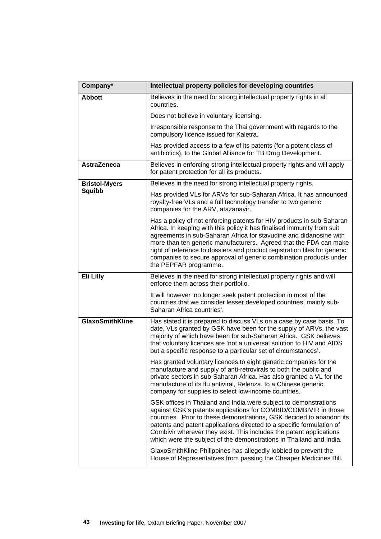| Company*               | Intellectual property policies for developing countries                                                                                                                                                                                                                                                                                                                                                                                                                 |
|------------------------|-------------------------------------------------------------------------------------------------------------------------------------------------------------------------------------------------------------------------------------------------------------------------------------------------------------------------------------------------------------------------------------------------------------------------------------------------------------------------|
| <b>Abbott</b>          | Believes in the need for strong intellectual property rights in all<br>countries.                                                                                                                                                                                                                                                                                                                                                                                       |
|                        | Does not believe in voluntary licensing.                                                                                                                                                                                                                                                                                                                                                                                                                                |
|                        | Irresponsible response to the Thai government with regards to the<br>compulsory licence issued for Kaletra.                                                                                                                                                                                                                                                                                                                                                             |
|                        | Has provided access to a few of its patents (for a potent class of<br>antibiotics), to the Global Alliance for TB Drug Development.                                                                                                                                                                                                                                                                                                                                     |
| <b>AstraZeneca</b>     | Believes in enforcing strong intellectual property rights and will apply<br>for patent protection for all its products.                                                                                                                                                                                                                                                                                                                                                 |
| <b>Bristol-Myers</b>   | Believes in the need for strong intellectual property rights.                                                                                                                                                                                                                                                                                                                                                                                                           |
| Squibb                 | Has provided VLs for ARVs for sub-Saharan Africa. It has announced<br>royalty-free VLs and a full technology transfer to two generic<br>companies for the ARV, atazanavir.                                                                                                                                                                                                                                                                                              |
|                        | Has a policy of not enforcing patents for HIV products in sub-Saharan<br>Africa. In keeping with this policy it has finalised immunity from suit<br>agreements in sub-Saharan Africa for stavudine and didanosine with<br>more than ten generic manufacturers. Agreed that the FDA can make<br>right of reference to dossiers and product registration files for generic<br>companies to secure approval of generic combination products under<br>the PEPFAR programme. |
| Eli Lilly              | Believes in the need for strong intellectual property rights and will<br>enforce them across their portfolio.                                                                                                                                                                                                                                                                                                                                                           |
|                        | It will however 'no longer seek patent protection in most of the<br>countries that we consider lesser developed countries, mainly sub-<br>Saharan Africa countries'.                                                                                                                                                                                                                                                                                                    |
| <b>GlaxoSmithKline</b> | Has stated it is prepared to discuss VLs on a case by case basis. To<br>date, VLs granted by GSK have been for the supply of ARVs, the vast<br>majority of which have been for sub-Saharan Africa. GSK believes<br>that voluntary licences are 'not a universal solution to HIV and AIDS<br>but a specific response to a particular set of circumstances'.                                                                                                              |
|                        | Has granted voluntary licences to eight generic companies for the<br>manufacture and supply of anti-retrovirals to both the public and<br>private sectors in sub-Saharan Africa. Has also granted a VL for the<br>manufacture of its flu antiviral, Relenza, to a Chinese generic<br>company for supplies to select low-income countries.                                                                                                                               |
|                        | GSK offices in Thailand and India were subject to demonstrations<br>against GSK's patents applications for COMBID/COMBIVIR in those<br>countries. Prior to these demonstrations, GSK decided to abandon its<br>patents and patent applications directed to a specific formulation of<br>Combivir wherever they exist. This includes the patent applications<br>which were the subject of the demonstrations in Thailand and India.                                      |
|                        | GlaxoSmithKline Philippines has allegedly lobbied to prevent the<br>House of Representatives from passing the Cheaper Medicines Bill.                                                                                                                                                                                                                                                                                                                                   |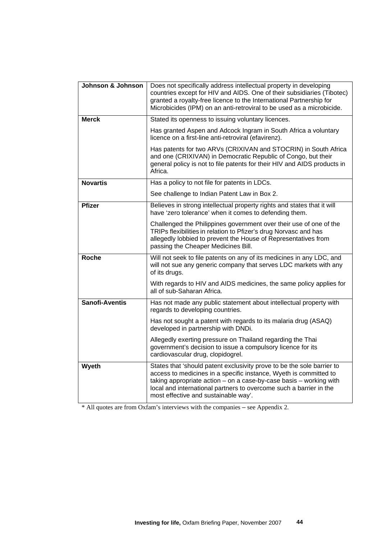| Johnson & Johnson     | Does not specifically address intellectual property in developing<br>countries except for HIV and AIDS. One of their subsidiaries (Tibotec)<br>granted a royalty-free licence to the International Partnership for<br>Microbicides (IPM) on an anti-retroviral to be used as a microbicide.                                       |  |
|-----------------------|-----------------------------------------------------------------------------------------------------------------------------------------------------------------------------------------------------------------------------------------------------------------------------------------------------------------------------------|--|
| <b>Merck</b>          | Stated its openness to issuing voluntary licences.                                                                                                                                                                                                                                                                                |  |
|                       | Has granted Aspen and Adcock Ingram in South Africa a voluntary<br>licence on a first-line anti-retroviral (efavirenz).                                                                                                                                                                                                           |  |
|                       | Has patents for two ARVs (CRIXIVAN and STOCRIN) in South Africa<br>and one (CRIXIVAN) in Democratic Republic of Congo, but their<br>general policy is not to file patents for their HIV and AIDS products in<br>Africa.                                                                                                           |  |
| <b>Novartis</b>       | Has a policy to not file for patents in LDCs.                                                                                                                                                                                                                                                                                     |  |
|                       | See challenge to Indian Patent Law in Box 2.                                                                                                                                                                                                                                                                                      |  |
| <b>Pfizer</b>         | Believes in strong intellectual property rights and states that it will<br>have 'zero tolerance' when it comes to defending them.                                                                                                                                                                                                 |  |
|                       | Challenged the Philippines government over their use of one of the<br>TRIPs flexibilities in relation to Pfizer's drug Norvasc and has<br>allegedly lobbied to prevent the House of Representatives from<br>passing the Cheaper Medicines Bill.                                                                                   |  |
| <b>Roche</b>          | Will not seek to file patents on any of its medicines in any LDC, and<br>will not sue any generic company that serves LDC markets with any<br>of its drugs.                                                                                                                                                                       |  |
|                       | With regards to HIV and AIDS medicines, the same policy applies for<br>all of sub-Saharan Africa.                                                                                                                                                                                                                                 |  |
| <b>Sanofi-Aventis</b> | Has not made any public statement about intellectual property with<br>regards to developing countries.                                                                                                                                                                                                                            |  |
|                       | Has not sought a patent with regards to its malaria drug (ASAQ)<br>developed in partnership with DNDi.                                                                                                                                                                                                                            |  |
|                       | Allegedly exerting pressure on Thailand regarding the Thai<br>government's decision to issue a compulsory licence for its<br>cardiovascular drug, clopidogrel.                                                                                                                                                                    |  |
| Wyeth                 | States that 'should patent exclusivity prove to be the sole barrier to<br>access to medicines in a specific instance, Wyeth is committed to<br>taking appropriate $action - on a case-by-case basis - working with$<br>local and international partners to overcome such a barrier in the<br>most effective and sustainable way'. |  |

\* All quotes are from Oxfam's interviews with the companies – see Appendix 2.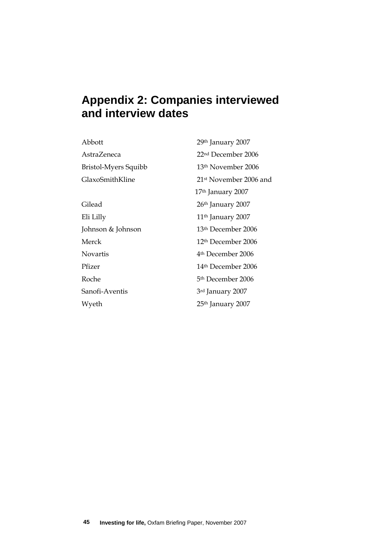# **Appendix 2: Companies interviewed and interview dates**

| Abbott               | 29 <sup>th</sup> January 2007      |
|----------------------|------------------------------------|
| AstraZeneca          | 22 <sup>nd</sup> December 2006     |
| Bristol-Myers Squibb | 13 <sup>th</sup> November 2006     |
| GlaxoSmithKline      | 21 <sup>st</sup> November 2006 and |
|                      | 17 <sup>th</sup> January 2007      |
| Gilead               | 26 <sup>th</sup> January 2007      |
| Eli Lilly            | 11 <sup>th</sup> January 2007      |
| Johnson & Johnson    | 13th December 2006                 |
| Merck                | 12 <sup>th</sup> December 2006     |
| <b>Novartis</b>      | 4 <sup>th</sup> December 2006      |
| Pfizer               | 14 <sup>th</sup> December 2006     |
| Roche                | 5 <sup>th</sup> December 2006      |
| Sanofi-Aventis       | 3rd January 2007                   |
| Wyeth                | 25 <sup>th</sup> January 2007      |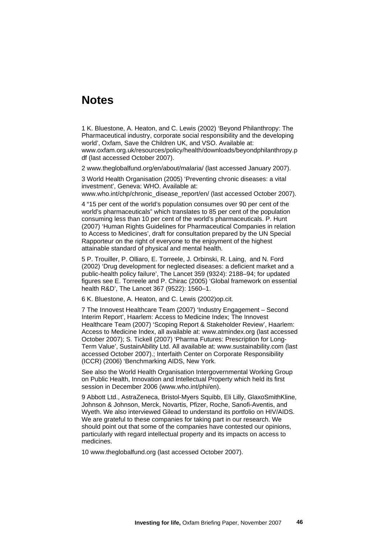## **Notes**

1 K. Bluestone, A. Heaton, and C. Lewis (2002) 'Beyond Philanthropy: The Pharmaceutical industry, corporate social responsibility and the developing world', Oxfam, Save the Children UK, and VSO. Available at: www.oxfam.org.uk/resources/policy/health/downloads/beyondphilanthropy.p df (last accessed October 2007).

2 www.theglobalfund.org/en/about/malaria/ (last accessed January 2007).

3 World Health Organisation (2005) 'Preventing chronic diseases: a vital investment', Geneva: WHO. Available at: www.who.int/chp/chronic\_disease\_report/en/ (last accessed October 2007).

4 "15 per cent of the world's population consumes over 90 per cent of the world's pharmaceuticals" which translates to 85 per cent of the population consuming less than 10 per cent of the world's pharmaceuticals. P. Hunt (2007) 'Human Rights Guidelines for Pharmaceutical Companies in relation to Access to Medicines', draft for consultation prepared by the UN Special Rapporteur on the right of everyone to the enjoyment of the highest attainable standard of physical and mental health.

5 P. Trouiller, P. Olliaro, E. Torreele, J. Orbinski, R. Laing, and N. Ford (2002) 'Drug development for neglected diseases: a deficient market and a public-health policy failure', The Lancet 359 (9324): 2188–94; for updated figures see E. Torreele and P. Chirac (2005) 'Global framework on essential health R&D', The Lancet 367 (9522): 1560–1.

6 K. Bluestone, A. Heaton, and C. Lewis (2002)op.cit.

7 The Innovest Healthcare Team (2007) 'Industry Engagement – Second Interim Report', Haarlem: Access to Medicine Index; The Innovest Healthcare Team (2007) 'Scoping Report & Stakeholder Review', Haarlem: Access to Medicine Index, all available at: www.atmindex.org (last accessed October 2007); S. Tickell (2007) 'Pharma Futures: Prescription for Long-Term Value', SustainAbility Ltd. All available at: www.sustainability.com (last accessed October 2007).; Interfaith Center on Corporate Responsibility (ICCR) (2006) 'Benchmarking AIDS, New York.

See also the World Health Organisation Intergovernmental Working Group on Public Health, Innovation and Intellectual Property which held its first session in December 2006 (www.who.int/phi/en).

9 Abbott Ltd., AstraZeneca, Bristol-Myers Squibb, Eli Lilly, GlaxoSmithKline, Johnson & Johnson, Merck, Novartis, Pfizer, Roche, Sanofi-Aventis, and Wyeth. We also interviewed Gilead to understand its portfolio on HIV/AIDS. We are grateful to these companies for taking part in our research. We should point out that some of the companies have contested our opinions, particularly with regard intellectual property and its impacts on access to medicines.

10 www.theglobalfund.org (last accessed October 2007).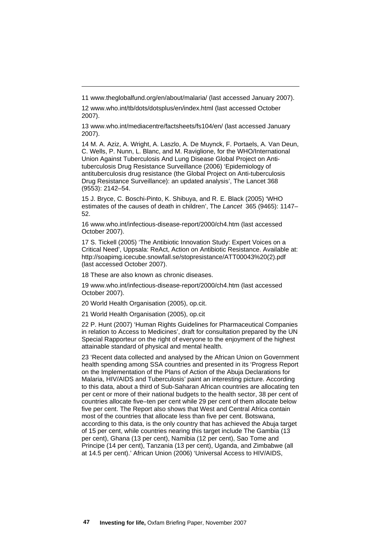12 www.who.int/tb/dots/dotsplus/en/index.html (last accessed October 2007).

13 www.who.int/mediacentre/factsheets/fs104/en/ (last accessed January 2007).

14 M. A. Aziz, A. Wright, A. Laszlo, A. De Muynck, F. Portaels, A. Van Deun, C. Wells, P. Nunn, L. Blanc, and M. Raviglione, for the WHO/International Union Against Tuberculosis And Lung Disease Global Project on Antituberculosis Drug Resistance Surveillance (2006) 'Epidemiology of antituberculosis drug resistance (the Global Project on Anti-tuberculosis Drug Resistance Surveillance): an updated analysis', The Lancet 368 (9553): 2142–54.

15 J. Bryce, C. Boschi-Pinto, K. Shibuya, and R. E. Black (2005) 'WHO estimates of the causes of death in children', The *Lancet* 365 (9465): 1147– 52.

16 www.who.int/infectious-disease-report/2000/ch4.htm (last accessed October 2007).

17 S. Tickell (2005) 'The Antibiotic Innovation Study: Expert Voices on a Critical Need', Uppsala: ReAct, Action on Antibiotic Resistance. Available at: http://soapimg.icecube.snowfall.se/stopresistance/ATT00043%20(2).pdf (last accessed October 2007).

18 These are also known as chronic diseases.

<u>.</u>

19 www.who.int/infectious-disease-report/2000/ch4.htm (last accessed October 2007).

20 World Health Organisation (2005), op.cit.

21 World Health Organisation (2005), op.cit

22 P. Hunt (2007) 'Human Rights Guidelines for Pharmaceutical Companies in relation to Access to Medicines', draft for consultation prepared by the UN Special Rapporteur on the right of everyone to the enjoyment of the highest attainable standard of physical and mental health.

23 'Recent data collected and analysed by the African Union on Government health spending among SSA countries and presented in its 'Progress Report on the Implementation of the Plans of Action of the Abuja Declarations for Malaria, HIV/AIDS and Tuberculosis' paint an interesting picture. According to this data, about a third of Sub-Saharan African countries are allocating ten per cent or more of their national budgets to the health sector, 38 per cent of countries allocate five–ten per cent while 29 per cent of them allocate below five per cent. The Report also shows that West and Central Africa contain most of the countries that allocate less than five per cent. Botswana, according to this data, is the only country that has achieved the Abuja target of 15 per cent, while countries nearing this target include The Gambia (13 per cent), Ghana (13 per cent), Namibia (12 per cent), Sao Tome and Principe (14 per cent), Tanzania (13 per cent), Uganda, and Zimbabwe (all at 14.5 per cent).' African Union (2006) 'Universal Access to HIV/AIDS,

<sup>11</sup> www.theglobalfund.org/en/about/malaria/ (last accessed January 2007).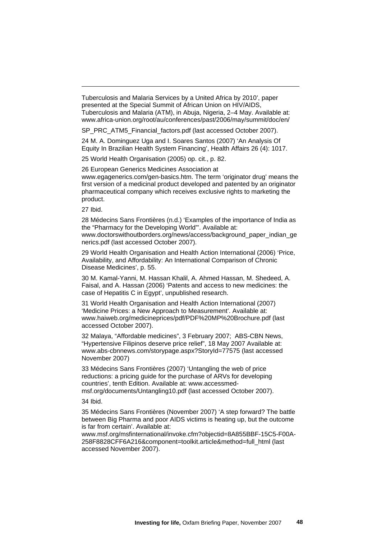Tuberculosis and Malaria Services by a United Africa by 2010', paper presented at the Special Summit of African Union on HIV/AIDS, Tuberculosis and Malaria (ATM), in Abuja, Nigeria, 2–4 May. Available at: www.africa-union.org/root/au/conferences/past/2006/may/summit/doc/en/

SP\_PRC\_ATM5\_Financial\_factors.pdf (last accessed October 2007).

24 M. A. Dominguez Uga and I. Soares Santos (2007) 'An Analysis Of Equity In Brazilian Health System Financing', Health Affairs 26 (4): 1017.

25 World Health Organisation (2005) op. cit., p. 82.

26 European Generics Medicines Association at www.egagenerics.com/gen-basics.htm. The term 'originator drug' means the first version of a medicinal product developed and patented by an originator pharmaceutical company which receives exclusive rights to marketing the product.

27 Ibid.

<u>.</u>

28 Médecins Sans Frontières (n.d.) 'Examples of the importance of India as the "Pharmacy for the Developing World"'. Available at: www.doctorswithoutborders.org/news/access/background\_paper\_indian\_ge nerics.pdf (last accessed October 2007).

29 World Health Organisation and Health Action International (2006) 'Price, Availability, and Affordability: An International Comparison of Chronic Disease Medicines', p. 55.

30 M. Kamal-Yanni, M. Hassan Khalil, A. Ahmed Hassan, M. Shedeed, A. Faisal, and A. Hassan (2006) 'Patents and access to new medicines: the case of Hepatitis C in Egypt', unpublished research.

31 World Health Organisation and Health Action International (2007) 'Medicine Prices: a New Approach to Measurement'. Available at: www.haiweb.org/medicineprices/pdf/PDF%20MP%20Brochure.pdf (last accessed October 2007).

32 Malaya, "Affordable medicines", 3 February 2007; ABS-CBN News, "Hypertensive Filipinos deserve price relief", 18 May 2007 Available at: www.abs-cbnnews.com/storypage.aspx?StoryId=77575 (last accessed November 2007)

33 Médecins Sans Frontières (2007) 'Untangling the web of price reductions: a pricing guide for the purchase of ARVs for developing countries', tenth Edition. Available at: www.accessmedmsf.org/documents/Untangling10.pdf (last accessed October 2007).

34 Ibid.

35 Médecins Sans Frontières (November 2007) 'A step forward? The battle between Big Pharma and poor AIDS victims is heating up, but the outcome is far from certain'. Available at:

www.msf.org/msfinternational/invoke.cfm?objectid=8A855BBF-15C5-F00A-258F8828CFF6A216&component=toolkit.article&method=full\_html (last accessed November 2007).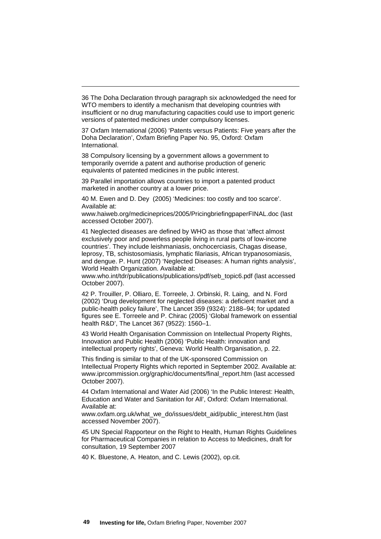36 The Doha Declaration through paragraph six acknowledged the need for WTO members to identify a mechanism that developing countries with insufficient or no drug manufacturing capacities could use to import generic versions of patented medicines under compulsory licenses.

37 Oxfam International (2006) 'Patents versus Patients: Five years after the Doha Declaration', Oxfam Briefing Paper No. 95, Oxford: Oxfam International.

38 Compulsory licensing by a government allows a government to temporarily override a patent and authorise production of generic equivalents of patented medicines in the public interest.

<u>.</u>

39 Parallel importation allows countries to import a patented product marketed in another country at a lower price.

40 M. Ewen and D. Dey (2005) 'Medicines: too costly and too scarce'. Available at:

www.haiweb.org/medicineprices/2005/PricingbriefingpaperFINAL.doc (last accessed October 2007).

41 Neglected diseases are defined by WHO as those that 'affect almost exclusively poor and powerless people living in rural parts of low-income countries'. They include leishmaniasis, onchocerciasis, Chagas disease, leprosy, TB, schistosomiasis, lymphatic filariasis, African trypanosomiasis, and dengue. P. Hunt (2007) 'Neglected Diseases: A human rights analysis', World Health Organization. Available at:

www.who.int/tdr/publications/publications/pdf/seb\_topic6.pdf (last accessed October 2007).

42 P. Trouiller, P. Olliaro, E. Torreele, J. Orbinski, R. Laing, and N. Ford (2002) 'Drug development for neglected diseases: a deficient market and a public-health policy failure', The Lancet 359 (9324): 2188–94; for updated figures see E. Torreele and P. Chirac (2005) 'Global framework on essential health R&D', The Lancet 367 (9522): 1560–1.

43 World Health Organisation Commission on Intellectual Property Rights, Innovation and Public Health (2006) 'Public Health: innovation and intellectual property rights', Geneva: World Health Organisation, p. 22.

This finding is similar to that of the UK-sponsored Commission on Intellectual Property Rights which reported in September 2002. Available at: www.iprcommission.org/graphic/documents/final\_report.htm (last accessed October 2007).

44 Oxfam International and Water Aid (2006) 'In the Public Interest: Health, Education and Water and Sanitation for All', Oxford: Oxfam International. Available at:

www.oxfam.org.uk/what\_we\_do/issues/debt\_aid/public\_interest.htm (last accessed November 2007).

45 UN Special Rapporteur on the Right to Health, Human Rights Guidelines for Pharmaceutical Companies in relation to Access to Medicines, draft for consultation, 19 September 2007

40 K. Bluestone, A. Heaton, and C. Lewis (2002), op.cit.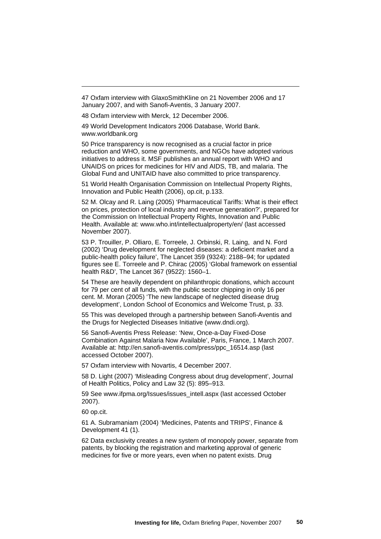47 Oxfam interview with GlaxoSmithKline on 21 November 2006 and 17 January 2007, and with Sanofi-Aventis, 3 January 2007.

48 Oxfam interview with Merck, 12 December 2006.

49 World Development Indicators 2006 Database, World Bank. www.worldbank.org

50 Price transparency is now recognised as a crucial factor in price reduction and WHO, some governments, and NGOs have adopted various initiatives to address it. MSF publishes an annual report with WHO and UNAIDS on prices for medicines for HIV and AIDS, TB, and malaria. The Global Fund and UNITAID have also committed to price transparency.

51 World Health Organisation Commission on Intellectual Property Rights, Innovation and Public Health (2006), op.cit, p.133.

52 M. Olcay and R. Laing (2005) 'Pharmaceutical Tariffs: What is their effect on prices, protection of local industry and revenue generation?', prepared for the Commission on Intellectual Property Rights, Innovation and Public Health. Available at: www.who.int/intellectualproperty/en/ (last accessed November 2007).

53 P. Trouiller, P. Olliaro, E. Torreele, J. Orbinski, R. Laing, and N. Ford (2002) 'Drug development for neglected diseases: a deficient market and a public-health policy failure', The Lancet 359 (9324): 2188–94; for updated figures see E. Torreele and P. Chirac (2005) 'Global framework on essential health R&D', The Lancet 367 (9522): 1560–1.

54 These are heavily dependent on philanthropic donations, which account for 79 per cent of all funds, with the public sector chipping in only 16 per cent. M. Moran (2005) 'The new landscape of neglected disease drug development', London School of Economics and Welcome Trust, p. 33.

55 This was developed through a partnership between Sanofi-Aventis and the Drugs for Neglected Diseases Initiative (www.dndi.org).

56 Sanofi-Aventis Press Release: 'New, Once-a-Day Fixed-Dose Combination Against Malaria Now Available', Paris, France, 1 March 2007. Available at: http://en.sanofi-aventis.com/press/ppc\_16514.asp (last accessed October 2007).

57 Oxfam interview with Novartis, 4 December 2007.

58 D. Light (2007) 'Misleading Congress about drug development', Journal of Health Politics, Policy and Law 32 (5): 895–913.

59 See www.ifpma.org/Issues/issues\_intell.aspx (last accessed October 2007).

60 op.cit.

<u>.</u>

61 A. Subramaniam (2004) 'Medicines, Patents and TRIPS', Finance & Development 41 (1).

62 Data exclusivity creates a new system of monopoly power, separate from patents, by blocking the registration and marketing approval of generic medicines for five or more years, even when no patent exists. Drug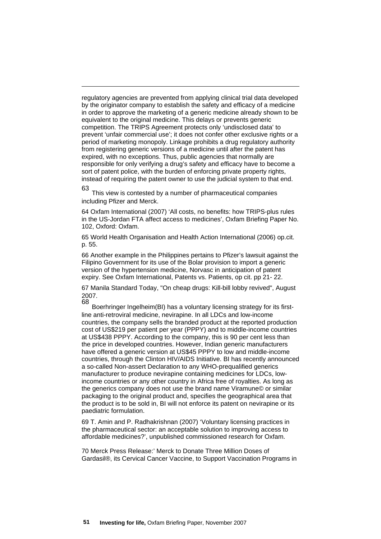regulatory agencies are prevented from applying clinical trial data developed by the originator company to establish the safety and efficacy of a medicine in order to approve the marketing of a generic medicine already shown to be equivalent to the original medicine. This delays or prevents generic competition. The TRIPS Agreement protects only 'undisclosed data' to prevent 'unfair commercial use'; it does not confer other exclusive rights or a period of marketing monopoly. Linkage prohibits a drug regulatory authority from registering generic versions of a medicine until after the patent has expired, with no exceptions. Thus, public agencies that normally are responsible for only verifying a drug's safety and efficacy have to become a sort of patent police, with the burden of enforcing private property rights, instead of requiring the patent owner to use the judicial system to that end.

<u>.</u>

63 This view is contested by a number of pharmaceutical companies including Pfizer and Merck.

64 Oxfam International (2007) 'All costs, no benefits: how TRIPS-plus rules in the US-Jordan FTA affect access to medicines', Oxfam Briefing Paper No. 102, Oxford: Oxfam.

65 World Health Organisation and Health Action International (2006) op.cit. p. 55.

66 Another example in the Philippines pertains to Pfizer's lawsuit against the Filipino Government for its use of the Bolar provision to import a generic version of the hypertension medicine, Norvasc in anticipation of patent expiry. See Oxfam International, Patents vs. Patients, op cit. pp 21- 22.

67 Manila Standard Today, "On cheap drugs: Kill-bill lobby revived", August 2007.

Boerhringer Ingelheim(BI) has a voluntary licensing strategy for its firstline anti-retroviral medicine, nevirapine. In all LDCs and low-income countries, the company sells the branded product at the reported production cost of US\$219 per patient per year (PPPY) and to middle-income countries at US\$438 PPPY. According to the company, this is 90 per cent less than the price in developed countries. However, Indian generic manufacturers have offered a generic version at US\$45 PPPY to low and middle-income countries, through the Clinton HIV/AIDS Initiative. BI has recently announced a so-called Non-assert Declaration to any WHO-prequalified generics manufacturer to produce nevirapine containing medicines for LDCs, lowincome countries or any other country in Africa free of royalties. As long as the generics company does not use the brand name Viramune© or similar packaging to the original product and, specifies the geographical area that the product is to be sold in, BI will not enforce its patent on nevirapine or its paediatric formulation.

69 T. Amin and P. Radhakrishnan (2007) 'Voluntary licensing practices in the pharmaceutical sector: an acceptable solution to improving access to affordable medicines?', unpublished commissioned research for Oxfam.

70 Merck Press Release:' Merck to Donate Three Million Doses of Gardasil®, its Cervical Cancer Vaccine, to Support Vaccination Programs in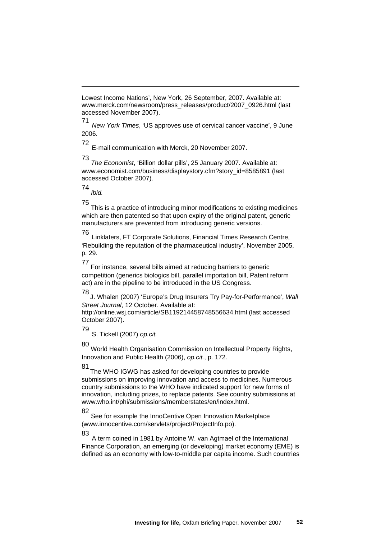Lowest Income Nations', New York, 26 September, 2007. Available at: www.merck.com/newsroom/press\_releases/product/2007\_0926.html (last accessed November 2007).

71 *New York Times*, 'US approves use of cervical cancer vaccine', 9 June 2006.

72

<u>.</u>

E-mail communication with Merck, 20 November 2007.

73 *The Economist*, 'Billion dollar pills', 25 January 2007. Available at: www.economist.com/business/displaystory.cfm?story\_id=8585891 (last accessed October 2007).

74 *Ibid.* 

75 This is a practice of introducing minor modifications to existing medicines which are then patented so that upon expiry of the original patent, generic manufacturers are prevented from introducing generic versions.

<sup>76</sup> Linklaters, FT Corporate Solutions, Financial Times Research Centre, 'Rebuilding the reputation of the pharmaceutical industry', November 2005, p. 29.

77 For instance, several bills aimed at reducing barriers to generic competition (generics biologics bill, parallel importation bill, Patent reform act) are in the pipeline to be introduced in the US Congress.

<sup>78</sup> J. Whalen (2007) 'Europe's Drug Insurers Try Pay-for-Performance', *Wall Street Journal*, 12 October. Available at:

http://online.wsj.com/article/SB119214458748556634.html (last accessed October 2007).

<sup>79</sup> S. Tickell (2007) *op.cit.*

80 World Health Organisation Commission on Intellectual Property Rights, Innovation and Public Health (2006), *op.cit.*, p. 172.

<sup>81</sup> The WHO IGWG has asked for developing countries to provide submissions on improving innovation and access to medicines. Numerous country submissions to the WHO have indicated support for new forms of innovation, including prizes, to replace patents. See country submissions at www.who.int/phi/submissions/memberstates/en/index.html.

See for example the InnoCentive Open Innovation Marketplace (www.innocentive.com/servlets/project/ProjectInfo.po).

83

A term coined in 1981 by Antoine W. van Agtmael of the International Finance Corporation, an emerging (or developing) market economy (EME) is defined as an economy with low-to-middle per capita income. Such countries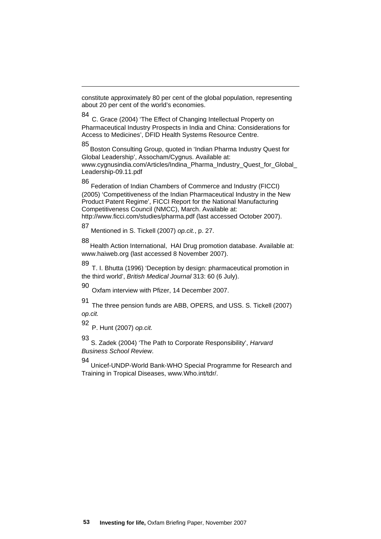constitute approximately 80 per cent of the global population, representing about 20 per cent of the world's economies.

<sup>84</sup> C. Grace (2004) 'The Effect of Changing Intellectual Property on Pharmaceutical Industry Prospects in India and China: Considerations for Access to Medicines', DFID Health Systems Resource Centre.

<sup>85</sup> Boston Consulting Group, quoted in 'Indian Pharma Industry Quest for Global Leadership', Assocham/Cygnus. Available at: www.cygnusindia.com/Articles/Indina\_Pharma\_Industry\_Quest\_for\_Global\_ Leadership-09.11.pdf

<u>.</u>

86 Federation of Indian Chambers of Commerce and Industry (FICCI) (2005) 'Competitiveness of the Indian Pharmaceutical Industry in the New Product Patent Regime', FICCI Report for the National Manufacturing Competitiveness Council (NMCC), March. Available at: http://www.ficci.com/studies/pharma.pdf (last accessed October 2007).

87 Mentioned in S. Tickell (2007) *op.cit.*, p. 27.

88 Health Action International, HAI Drug promotion database. Available at: www.haiweb.org (last accessed 8 November 2007).

<sup>89</sup> T. I. Bhutta (1996) 'Deception by design: pharmaceutical promotion in the third world', *British Medical Journal* 313: 60 (6 July).

<sup>90</sup> Oxfam interview with Pfizer, 14 December 2007.

<sup>91</sup> The three pension funds are ABB, OPERS, and USS. S. Tickell (2007) *op.cit.*

<sup>92</sup> P. Hunt (2007) *op.cit.*

93 S. Zadek (2004) 'The Path to Corporate Responsibility', *Harvard Business School Review*.

94 Unicef-UNDP-World Bank-WHO Special Programme for Research and Training in Tropical Diseases, www.Who.int/tdr/.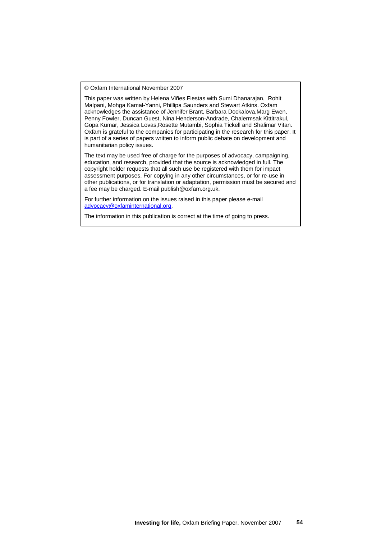© Oxfam International November 2007

This paper was written by Helena Viñes Fiestas with Sumi Dhanarajan, Rohit Malpani, Mohga Kamal-Yanni, Phillipa Saunders and Stewart Atkins. Oxfam acknowledges the assistance of Jennifer Brant, Barbara Dockalova,Marg Ewen, Penny Fowler, Duncan Guest, Nina Henderson-Andrade, Chalermsak Kittitrakul, Gopa Kumar, Jessica Lovas,Rosette Mutambi, Sophia Tickell and Shalimar Vitan. Oxfam is grateful to the companies for participating in the research for this paper. It is part of a series of papers written to inform public debate on development and humanitarian policy issues.

The text may be used free of charge for the purposes of advocacy, campaigning, education, and research, provided that the source is acknowledged in full. The copyright holder requests that all such use be registered with them for impact assessment purposes. For copying in any other circumstances, or for re-use in other publications, or for translation or adaptation, permission must be secured and a fee may be charged. E-mail publish@oxfam.org.uk.

For further information on the issues raised in this paper please e-mail [advocacy@oxfaminternational.org](mailto:advocacy@oxfaminternational.org).

The information in this publication is correct at the time of going to press.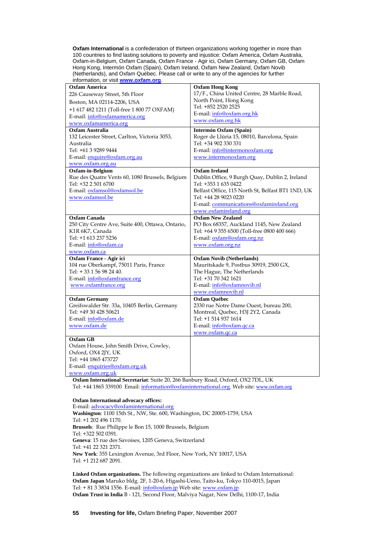**Oxfam International** is a confederation of thirteen organizations working together in more than 100 countries to find lasting solutions to poverty and injustice: Oxfam America, Oxfam Australia, Oxfam-in-Belgium, Oxfam Canada, Oxfam France - Agir ici, Oxfam Germany, Oxfam GB, Oxfam Hong Kong, Intermón Oxfam (Spain), Oxfam Ireland, Oxfam New Zealand, Oxfam Novib (Netherlands), and Oxfam Québec. Please call or write to any of the agencies for further information, or visit **[www.oxfam.org](http://www.oxfam.org/)**.

| Oxfam America                                    | <b>Oxfam Hong Kong</b>                            |
|--------------------------------------------------|---------------------------------------------------|
| 226 Causeway Street, 5th Floor                   | 17/F., China United Centre, 28 Marble Road,       |
| Boston, MA 02114-2206, USA                       | North Point, Hong Kong                            |
| +1 617 482 1211 (Toll-free 1 800 77 OXFAM)       | Tel: +852 2520 2525                               |
| E-mail: info@oxfamamerica.org                    | E-mail: info@oxfam.org.hk                         |
| www.oxfamamerica.org                             | www.oxfam.org.hk                                  |
| <b>Oxfam Australia</b>                           | Intermón Oxfam (Spain)                            |
| 132 Leicester Street, Carlton, Victoria 3053,    | Roger de Llúria 15, 08010, Barcelona, Spain       |
| Australia                                        | Tel: +34 902 330 331                              |
| Tel: +61 3 9289 9444                             | E-mail: info@intermonoxfam.org                    |
| E-mail: enquire@oxfam.org.au                     | www.intermonoxfam.org                             |
| www.oxfam.org.au                                 |                                                   |
| Oxfam-in-Belgium                                 | <b>Oxfam Ireland</b>                              |
| Rue des Quatre Vents 60, 1080 Brussels, Belgium  | Dublin Office, 9 Burgh Quay, Dublin 2, Ireland    |
| Tel: +32 2 501 6700                              | Tel: +353 1 635 0422                              |
| E-mail: oxfamsol@oxfamsol.be                     | Belfast Office, 115 North St, Belfast BT1 1ND, UK |
| www.oxfamsol.be                                  | Tel: +44 28 9023 0220                             |
|                                                  | E-mail: communications@oxfamireland.org           |
|                                                  | www.oxfamireland.org                              |
| <b>Oxfam Canada</b>                              | <b>Oxfam New Zealand</b>                          |
| 250 City Centre Ave, Suite 400, Ottawa, Ontario, | PO Box 68357, Auckland 1145, New Zealand          |
| K1R 6K7, Canada                                  | Tel: +64 9 355 6500 (Toll-free 0800 400 666)      |
| Tel: +1 613 237 5236                             | E-mail: oxfam@oxfam.org.nz                        |
| E-mail: info@oxfam.ca                            | www.oxfam.org.nz                                  |
| www.oxfam.ca                                     |                                                   |
| Oxfam France - Agir ici                          | <b>Oxfam Novib (Netherlands)</b>                  |
| 104 rue Oberkampf, 75011 Paris, France           | Mauritskade 9, Postbus 30919, 2500 GX,            |
| Tel: +33 1 56 98 24 40.                          | The Hague, The Netherlands                        |
| E-mail: info@oxfamfrance.org                     | Tel: +31 70 342 1621                              |
| www.oxfamfrance.org                              | E-mail: info@oxfamnovib.nl                        |
|                                                  | www.oxfamnovib.nl                                 |
| <b>Oxfam Germany</b>                             | <b>Oxfam Québec</b>                               |
| Greifswalder Str. 33a, 10405 Berlin, Germany     | 2330 rue Notre Dame Ouest, bureau 200,            |
| Tel: +49 30 428 50621                            | Montreal, Quebec, H3J 2Y2, Canada                 |
| E-mail: info@oxfam.de                            | Tel: +1 514 937 1614                              |
| www.oxfam.de                                     | E-mail: info@oxfam.qc.ca                          |
|                                                  | www.oxfam.qc.ca                                   |
| <b>Oxfam GB</b>                                  |                                                   |
| Oxfam House, John Smith Drive, Cowley,           |                                                   |
| Oxford, OX4 2JY, UK                              |                                                   |
| Tel: +44 1865 473727                             |                                                   |
| E-mail: enquiries@oxfam.org.uk                   |                                                   |
| www.oxfam.org.uk                                 |                                                   |

**Oxfam International Secretariat**: Suite 20, 266 Banbury Road, Oxford, OX2 7DL, UK Tel: +44 1865 339100 Email: [information@oxfaminternational.org.](mailto:information@oxfaminternational.org) Web site: [www.oxfam.org](http://www.oxfam.org/)

#### **Oxfam International advocacy offices:**

E-mail: [advocacy@oxfaminternational.org](mailto:advocacy@oxfaminternational.org) **Washington**: 1100 15th St., NW, Ste. 600, Washington, DC 20005-1759, USA Tel: +1 202 496 1170. **Brussels**: Rue Philippe le Bon 15, 1000 Brussels, Belgium Tel: +322 502 0391. **Geneva**: 15 rue des Savoises, 1205 Geneva, Switzerland Tel: +41 22 321 2371. **New York**: 355 Lexington Avenue, 3rd Floor, New York, NY 10017, USA Tel: +1 212 687 2091.

**Linked Oxfam organizations.** The following organizations are linked to Oxfam International: **Oxfam Japan** Maruko bldg. 2F, 1-20-6, Higashi-Ueno, Taito-ku, Tokyo 110-0015, Japan Tel: + 81 3 3834 1556. E-mail: [info@oxfam.jp](mailto:info@oxfam.jp) Web site: [www.oxfam.jp](http://www.oxfam.jp/) **Oxfam Trust in India** B - 121, Second Floor, Malviya Nagar, New Delhi, 1100-17, India